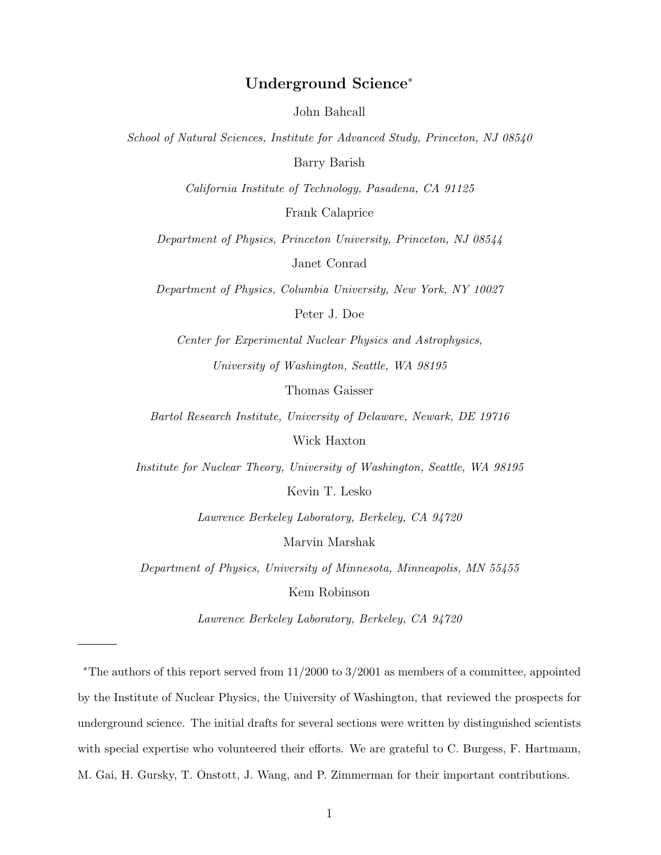# **Underground Science**<sup>∗</sup>

John Bahcall

*School of Natural Sciences, Institute for Advanced Study, Princeton, NJ 08540*

Barry Barish

*California Institute of Technology, Pasadena, CA 91125*

Frank Calaprice

*Department of Physics, Princeton University, Princeton, NJ 08544*

Janet Conrad

*Department of Physics, Columbia University, New York, NY 10027*

Peter J. Doe

*Center for Experimental Nuclear Physics and Astrophysics,*

*University of Washington, Seattle, WA 98195*

Thomas Gaisser

*Bartol Research Institute, University of Delaware, Newark, DE 19716*

Wick Haxton

*Institute for Nuclear Theory, University of Washington, Seattle, WA 98195*

Kevin T. Lesko

*Lawrence Berkeley Laboratory, Berkeley, CA 94720*

Marvin Marshak

*Department of Physics, University of Minnesota, Minneapolis, MN 55455*

Kem Robinson

*Lawrence Berkeley Laboratory, Berkeley, CA 94720*

∗The authors of this report served from 11/2000 to 3/2001 as members of a committee, appointed by the Institute of Nuclear Physics, the University of Washington, that reviewed the prospects for underground science. The initial drafts for several sections were written by distinguished scientists with special expertise who volunteered their efforts. We are grateful to C. Burgess, F. Hartmann, M. Gai, H. Gursky, T. Onstott, J. Wang, and P. Zimmerman for their important contributions.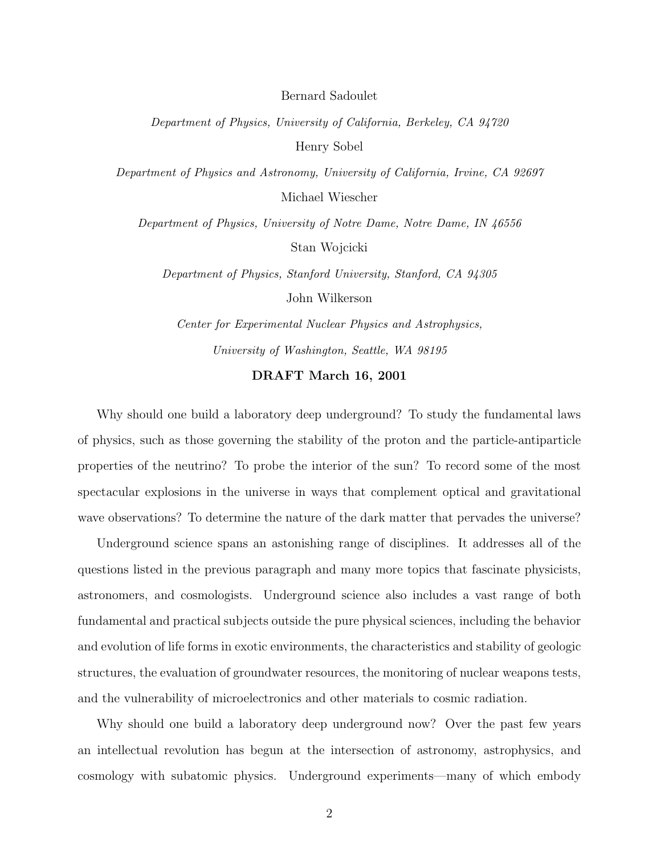Bernard Sadoulet

*Department of Physics, University of California, Berkeley, CA 94720* Henry Sobel

*Department of Physics and Astronomy, University of California, Irvine, CA 92697* Michael Wiescher

*Department of Physics, University of Notre Dame, Notre Dame, IN 46556* Stan Wojcicki

*Department of Physics, Stanford University, Stanford, CA 94305* John Wilkerson

*Center for Experimental Nuclear Physics and Astrophysics, University of Washington, Seattle, WA 98195*

## **DRAFT March 16, 2001**

Why should one build a laboratory deep underground? To study the fundamental laws of physics, such as those governing the stability of the proton and the particle-antiparticle properties of the neutrino? To probe the interior of the sun? To record some of the most spectacular explosions in the universe in ways that complement optical and gravitational wave observations? To determine the nature of the dark matter that pervades the universe?

Underground science spans an astonishing range of disciplines. It addresses all of the questions listed in the previous paragraph and many more topics that fascinate physicists, astronomers, and cosmologists. Underground science also includes a vast range of both fundamental and practical subjects outside the pure physical sciences, including the behavior and evolution of life forms in exotic environments, the characteristics and stability of geologic structures, the evaluation of groundwater resources, the monitoring of nuclear weapons tests, and the vulnerability of microelectronics and other materials to cosmic radiation.

Why should one build a laboratory deep underground now? Over the past few years an intellectual revolution has begun at the intersection of astronomy, astrophysics, and cosmology with subatomic physics. Underground experiments—many of which embody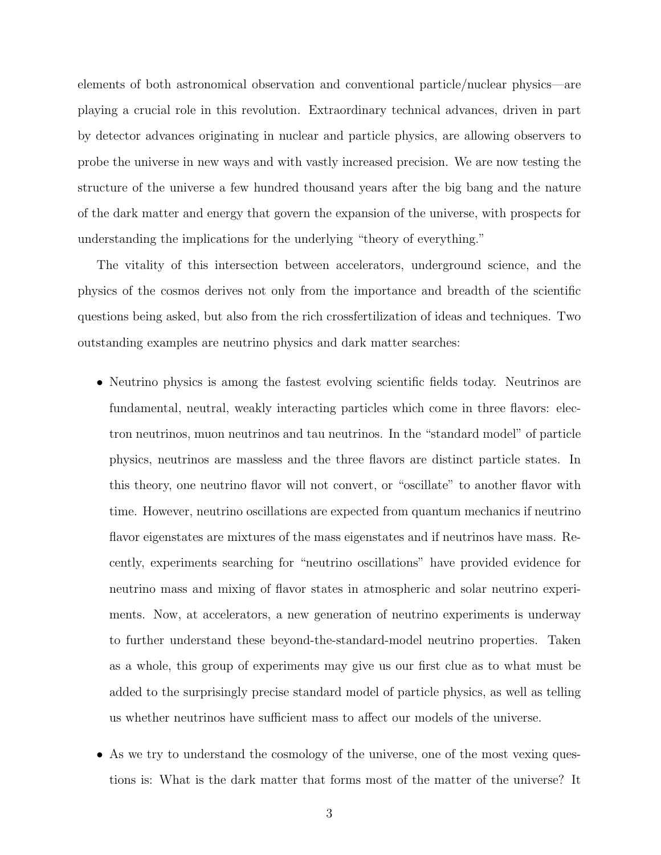elements of both astronomical observation and conventional particle/nuclear physics—are playing a crucial role in this revolution. Extraordinary technical advances, driven in part by detector advances originating in nuclear and particle physics, are allowing observers to probe the universe in new ways and with vastly increased precision. We are now testing the structure of the universe a few hundred thousand years after the big bang and the nature of the dark matter and energy that govern the expansion of the universe, with prospects for understanding the implications for the underlying "theory of everything."

The vitality of this intersection between accelerators, underground science, and the physics of the cosmos derives not only from the importance and breadth of the scientific questions being asked, but also from the rich crossfertilization of ideas and techniques. Two outstanding examples are neutrino physics and dark matter searches:

- Neutrino physics is among the fastest evolving scientific fields today. Neutrinos are fundamental, neutral, weakly interacting particles which come in three flavors: electron neutrinos, muon neutrinos and tau neutrinos. In the "standard model" of particle physics, neutrinos are massless and the three flavors are distinct particle states. In this theory, one neutrino flavor will not convert, or "oscillate" to another flavor with time. However, neutrino oscillations are expected from quantum mechanics if neutrino flavor eigenstates are mixtures of the mass eigenstates and if neutrinos have mass. Recently, experiments searching for "neutrino oscillations" have provided evidence for neutrino mass and mixing of flavor states in atmospheric and solar neutrino experiments. Now, at accelerators, a new generation of neutrino experiments is underway to further understand these beyond-the-standard-model neutrino properties. Taken as a whole, this group of experiments may give us our first clue as to what must be added to the surprisingly precise standard model of particle physics, as well as telling us whether neutrinos have sufficient mass to affect our models of the universe.
- As we try to understand the cosmology of the universe, one of the most vexing questions is: What is the dark matter that forms most of the matter of the universe? It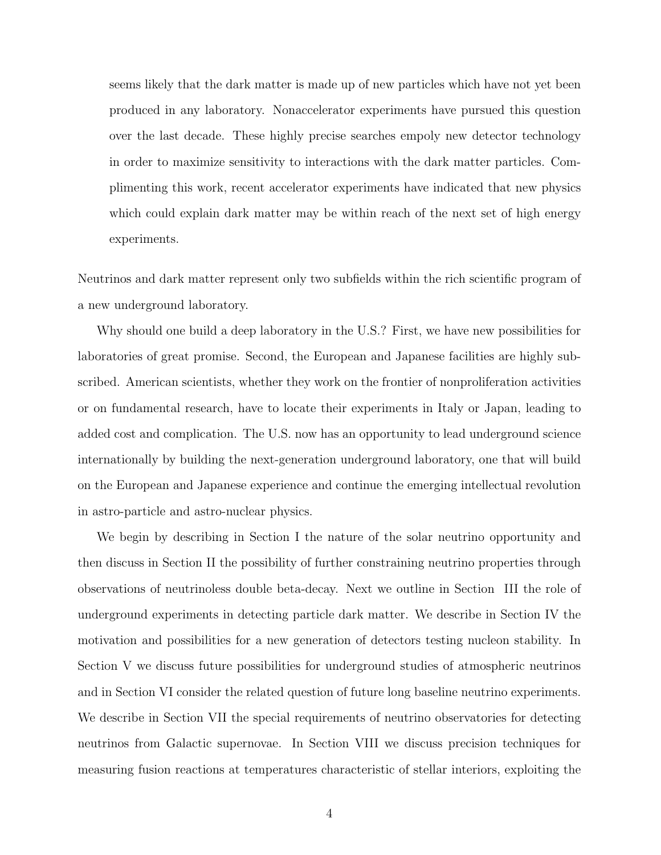seems likely that the dark matter is made up of new particles which have not yet been produced in any laboratory. Nonaccelerator experiments have pursued this question over the last decade. These highly precise searches empoly new detector technology in order to maximize sensitivity to interactions with the dark matter particles. Complimenting this work, recent accelerator experiments have indicated that new physics which could explain dark matter may be within reach of the next set of high energy experiments.

Neutrinos and dark matter represent only two subfields within the rich scientific program of a new underground laboratory.

Why should one build a deep laboratory in the U.S.? First, we have new possibilities for laboratories of great promise. Second, the European and Japanese facilities are highly subscribed. American scientists, whether they work on the frontier of nonproliferation activities or on fundamental research, have to locate their experiments in Italy or Japan, leading to added cost and complication. The U.S. now has an opportunity to lead underground science internationally by building the next-generation underground laboratory, one that will build on the European and Japanese experience and continue the emerging intellectual revolution in astro-particle and astro-nuclear physics.

We begin by describing in Section I the nature of the solar neutrino opportunity and then discuss in Section II the possibility of further constraining neutrino properties through observations of neutrinoless double beta-decay. Next we outline in Section III the role of underground experiments in detecting particle dark matter. We describe in Section IV the motivation and possibilities for a new generation of detectors testing nucleon stability. In Section V we discuss future possibilities for underground studies of atmospheric neutrinos and in Section VI consider the related question of future long baseline neutrino experiments. We describe in Section VII the special requirements of neutrino observatories for detecting neutrinos from Galactic supernovae. In Section VIII we discuss precision techniques for measuring fusion reactions at temperatures characteristic of stellar interiors, exploiting the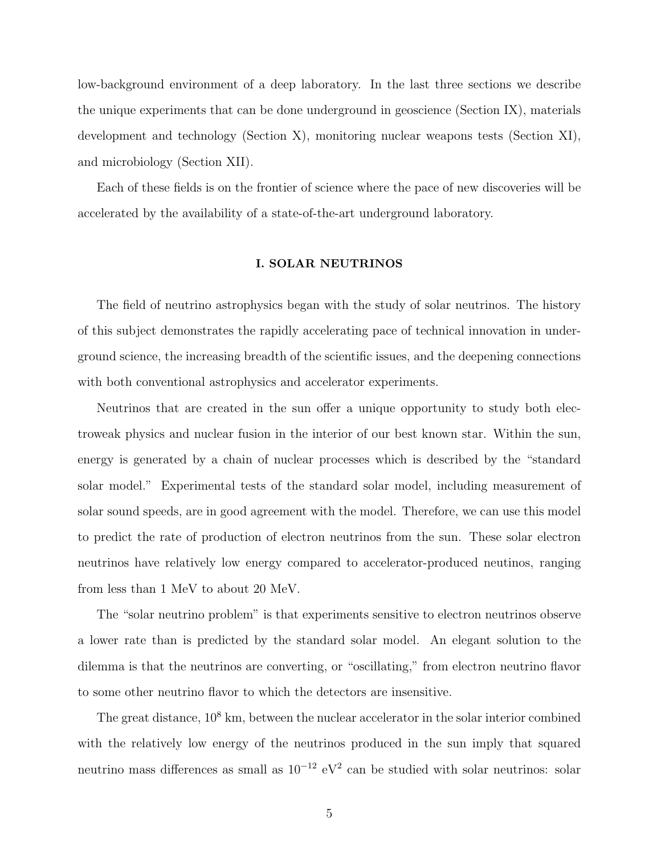low-background environment of a deep laboratory. In the last three sections we describe the unique experiments that can be done underground in geoscience (Section IX), materials development and technology (Section X), monitoring nuclear weapons tests (Section XI), and microbiology (Section XII).

Each of these fields is on the frontier of science where the pace of new discoveries will be accelerated by the availability of a state-of-the-art underground laboratory.

## **I. SOLAR NEUTRINOS**

The field of neutrino astrophysics began with the study of solar neutrinos. The history of this subject demonstrates the rapidly accelerating pace of technical innovation in underground science, the increasing breadth of the scientific issues, and the deepening connections with both conventional astrophysics and accelerator experiments.

Neutrinos that are created in the sun offer a unique opportunity to study both electroweak physics and nuclear fusion in the interior of our best known star. Within the sun, energy is generated by a chain of nuclear processes which is described by the "standard solar model." Experimental tests of the standard solar model, including measurement of solar sound speeds, are in good agreement with the model. Therefore, we can use this model to predict the rate of production of electron neutrinos from the sun. These solar electron neutrinos have relatively low energy compared to accelerator-produced neutinos, ranging from less than 1 MeV to about 20 MeV.

The "solar neutrino problem" is that experiments sensitive to electron neutrinos observe a lower rate than is predicted by the standard solar model. An elegant solution to the dilemma is that the neutrinos are converting, or "oscillating," from electron neutrino flavor to some other neutrino flavor to which the detectors are insensitive.

The great distance,  $10^8$  km, between the nuclear accelerator in the solar interior combined with the relatively low energy of the neutrinos produced in the sun imply that squared neutrino mass differences as small as  $10^{-12}$  eV<sup>2</sup> can be studied with solar neutrinos: solar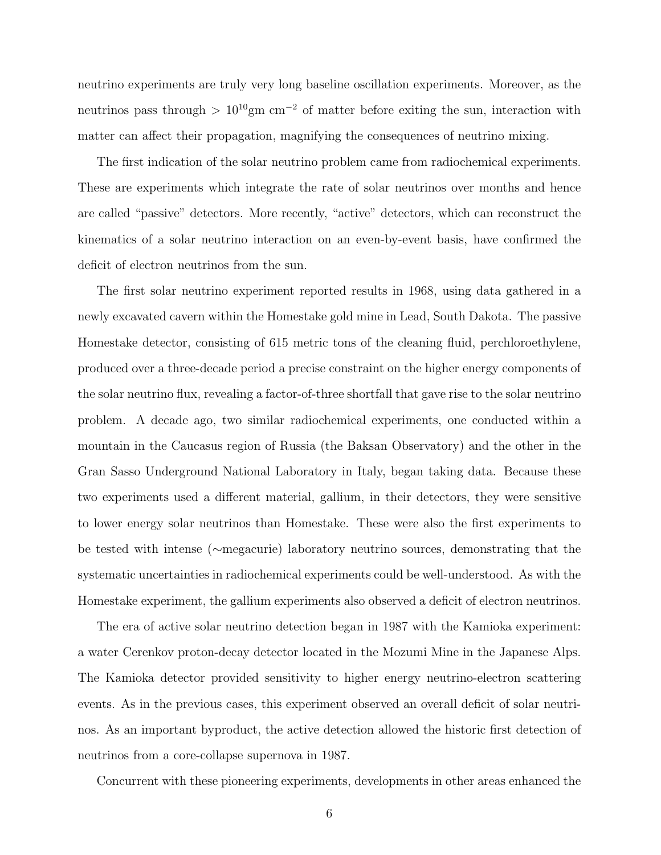neutrino experiments are truly very long baseline oscillation experiments. Moreover, as the neutrinos pass through >  $10^{10}$ gm cm<sup>-2</sup> of matter before exiting the sun, interaction with matter can affect their propagation, magnifying the consequences of neutrino mixing.

The first indication of the solar neutrino problem came from radiochemical experiments. These are experiments which integrate the rate of solar neutrinos over months and hence are called "passive" detectors. More recently, "active" detectors, which can reconstruct the kinematics of a solar neutrino interaction on an even-by-event basis, have confirmed the deficit of electron neutrinos from the sun.

The first solar neutrino experiment reported results in 1968, using data gathered in a newly excavated cavern within the Homestake gold mine in Lead, South Dakota. The passive Homestake detector, consisting of 615 metric tons of the cleaning fluid, perchloroethylene, produced over a three-decade period a precise constraint on the higher energy components of the solar neutrino flux, revealing a factor-of-three shortfall that gave rise to the solar neutrino problem. A decade ago, two similar radiochemical experiments, one conducted within a mountain in the Caucasus region of Russia (the Baksan Observatory) and the other in the Gran Sasso Underground National Laboratory in Italy, began taking data. Because these two experiments used a different material, gallium, in their detectors, they were sensitive to lower energy solar neutrinos than Homestake. These were also the first experiments to be tested with intense (∼megacurie) laboratory neutrino sources, demonstrating that the systematic uncertainties in radiochemical experiments could be well-understood. As with the Homestake experiment, the gallium experiments also observed a deficit of electron neutrinos.

The era of active solar neutrino detection began in 1987 with the Kamioka experiment: a water Cerenkov proton-decay detector located in the Mozumi Mine in the Japanese Alps. The Kamioka detector provided sensitivity to higher energy neutrino-electron scattering events. As in the previous cases, this experiment observed an overall deficit of solar neutrinos. As an important byproduct, the active detection allowed the historic first detection of neutrinos from a core-collapse supernova in 1987.

Concurrent with these pioneering experiments, developments in other areas enhanced the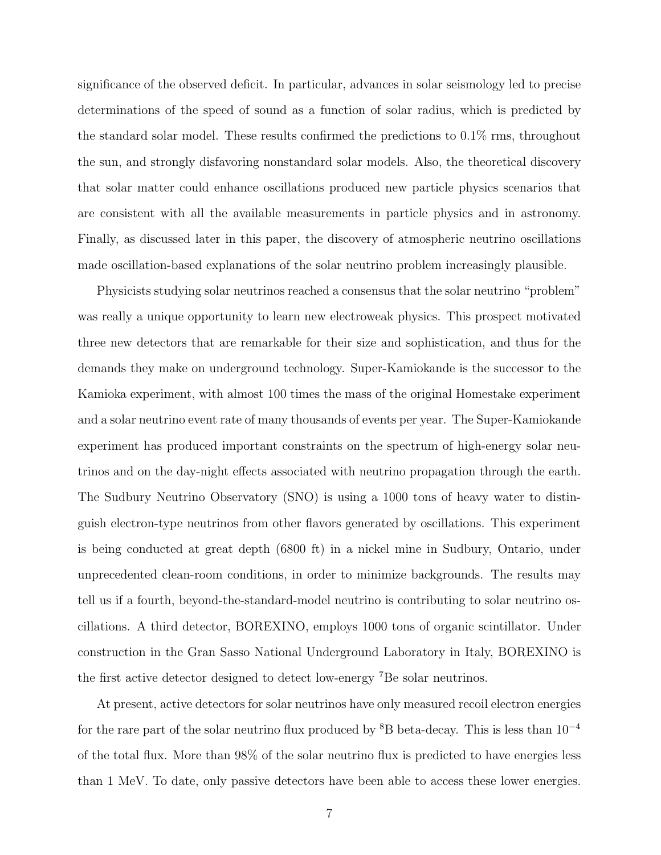significance of the observed deficit. In particular, advances in solar seismology led to precise determinations of the speed of sound as a function of solar radius, which is predicted by the standard solar model. These results confirmed the predictions to 0.1% rms, throughout the sun, and strongly disfavoring nonstandard solar models. Also, the theoretical discovery that solar matter could enhance oscillations produced new particle physics scenarios that are consistent with all the available measurements in particle physics and in astronomy. Finally, as discussed later in this paper, the discovery of atmospheric neutrino oscillations made oscillation-based explanations of the solar neutrino problem increasingly plausible.

Physicists studying solar neutrinos reached a consensus that the solar neutrino "problem" was really a unique opportunity to learn new electroweak physics. This prospect motivated three new detectors that are remarkable for their size and sophistication, and thus for the demands they make on underground technology. Super-Kamiokande is the successor to the Kamioka experiment, with almost 100 times the mass of the original Homestake experiment and a solar neutrino event rate of many thousands of events per year. The Super-Kamiokande experiment has produced important constraints on the spectrum of high-energy solar neutrinos and on the day-night effects associated with neutrino propagation through the earth. The Sudbury Neutrino Observatory (SNO) is using a 1000 tons of heavy water to distinguish electron-type neutrinos from other flavors generated by oscillations. This experiment is being conducted at great depth (6800 ft) in a nickel mine in Sudbury, Ontario, under unprecedented clean-room conditions, in order to minimize backgrounds. The results may tell us if a fourth, beyond-the-standard-model neutrino is contributing to solar neutrino oscillations. A third detector, BOREXINO, employs 1000 tons of organic scintillator. Under construction in the Gran Sasso National Underground Laboratory in Italy, BOREXINO is the first active detector designed to detect low-energy <sup>7</sup>Be solar neutrinos.

At present, active detectors for solar neutrinos have only measured recoil electron energies for the rare part of the solar neutrino flux produced by  ${}^{8}B$  beta-decay. This is less than  $10^{-4}$ of the total flux. More than 98% of the solar neutrino flux is predicted to have energies less than 1 MeV. To date, only passive detectors have been able to access these lower energies.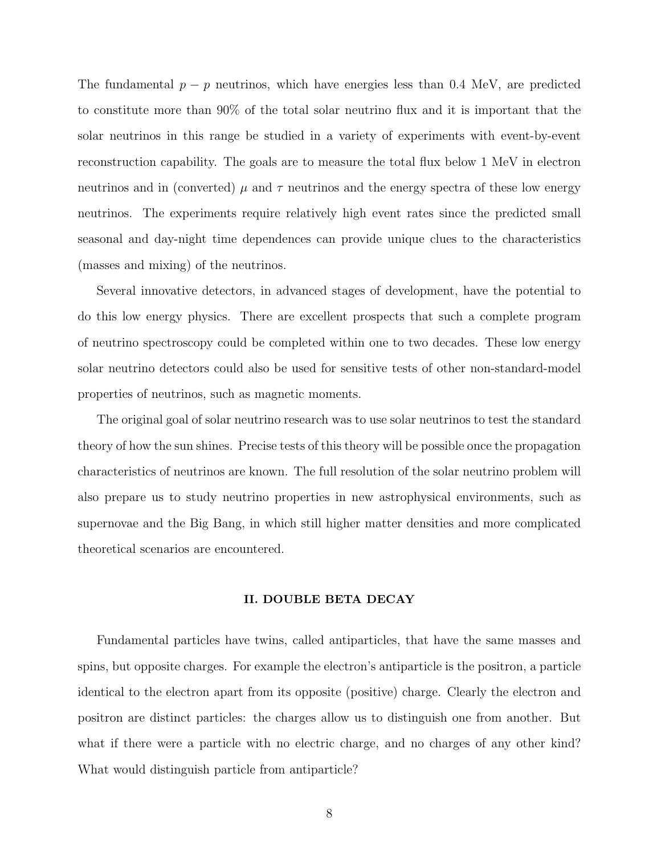The fundamental  $p - p$  neutrinos, which have energies less than 0.4 MeV, are predicted to constitute more than 90% of the total solar neutrino flux and it is important that the solar neutrinos in this range be studied in a variety of experiments with event-by-event reconstruction capability. The goals are to measure the total flux below 1 MeV in electron neutrinos and in (converted)  $\mu$  and  $\tau$  neutrinos and the energy spectra of these low energy neutrinos. The experiments require relatively high event rates since the predicted small seasonal and day-night time dependences can provide unique clues to the characteristics (masses and mixing) of the neutrinos.

Several innovative detectors, in advanced stages of development, have the potential to do this low energy physics. There are excellent prospects that such a complete program of neutrino spectroscopy could be completed within one to two decades. These low energy solar neutrino detectors could also be used for sensitive tests of other non-standard-model properties of neutrinos, such as magnetic moments.

The original goal of solar neutrino research was to use solar neutrinos to test the standard theory of how the sun shines. Precise tests of this theory will be possible once the propagation characteristics of neutrinos are known. The full resolution of the solar neutrino problem will also prepare us to study neutrino properties in new astrophysical environments, such as supernovae and the Big Bang, in which still higher matter densities and more complicated theoretical scenarios are encountered.

#### **II. DOUBLE BETA DECAY**

Fundamental particles have twins, called antiparticles, that have the same masses and spins, but opposite charges. For example the electron's antiparticle is the positron, a particle identical to the electron apart from its opposite (positive) charge. Clearly the electron and positron are distinct particles: the charges allow us to distinguish one from another. But what if there were a particle with no electric charge, and no charges of any other kind? What would distinguish particle from antiparticle?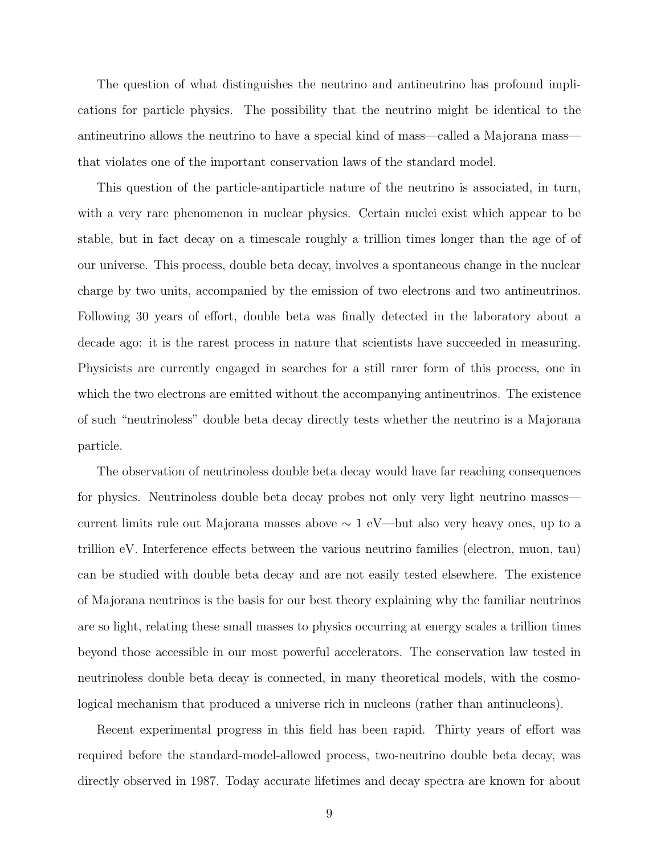The question of what distinguishes the neutrino and antineutrino has profound implications for particle physics. The possibility that the neutrino might be identical to the antineutrino allows the neutrino to have a special kind of mass—called a Majorana mass that violates one of the important conservation laws of the standard model.

This question of the particle-antiparticle nature of the neutrino is associated, in turn, with a very rare phenomenon in nuclear physics. Certain nuclei exist which appear to be stable, but in fact decay on a timescale roughly a trillion times longer than the age of of our universe. This process, double beta decay, involves a spontaneous change in the nuclear charge by two units, accompanied by the emission of two electrons and two antineutrinos. Following 30 years of effort, double beta was finally detected in the laboratory about a decade ago: it is the rarest process in nature that scientists have succeeded in measuring. Physicists are currently engaged in searches for a still rarer form of this process, one in which the two electrons are emitted without the accompanying antineutrinos. The existence of such "neutrinoless" double beta decay directly tests whether the neutrino is a Majorana particle.

The observation of neutrinoless double beta decay would have far reaching consequences for physics. Neutrinoless double beta decay probes not only very light neutrino masses current limits rule out Majorana masses above ∼ 1 eV—but also very heavy ones, up to a trillion eV. Interference effects between the various neutrino families (electron, muon, tau) can be studied with double beta decay and are not easily tested elsewhere. The existence of Majorana neutrinos is the basis for our best theory explaining why the familiar neutrinos are so light, relating these small masses to physics occurring at energy scales a trillion times beyond those accessible in our most powerful accelerators. The conservation law tested in neutrinoless double beta decay is connected, in many theoretical models, with the cosmological mechanism that produced a universe rich in nucleons (rather than antinucleons).

Recent experimental progress in this field has been rapid. Thirty years of effort was required before the standard-model-allowed process, two-neutrino double beta decay, was directly observed in 1987. Today accurate lifetimes and decay spectra are known for about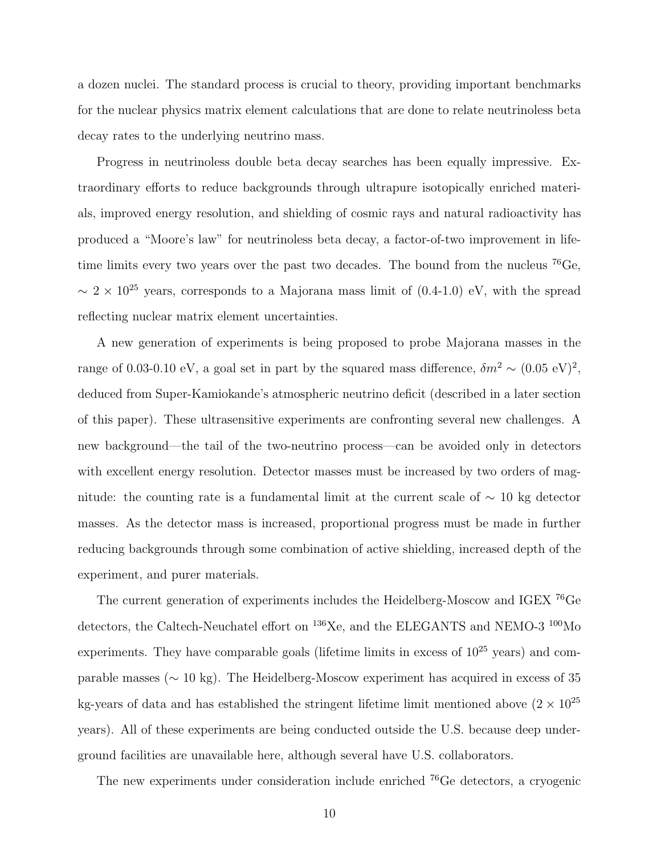a dozen nuclei. The standard process is crucial to theory, providing important benchmarks for the nuclear physics matrix element calculations that are done to relate neutrinoless beta decay rates to the underlying neutrino mass.

Progress in neutrinoless double beta decay searches has been equally impressive. Extraordinary efforts to reduce backgrounds through ultrapure isotopically enriched materials, improved energy resolution, and shielding of cosmic rays and natural radioactivity has produced a "Moore's law" for neutrinoless beta decay, a factor-of-two improvement in lifetime limits every two years over the past two decades. The bound from the nucleus <sup>76</sup>Ge,  $\sim 2 \times 10^{25}$  years, corresponds to a Majorana mass limit of (0.4-1.0) eV, with the spread reflecting nuclear matrix element uncertainties.

A new generation of experiments is being proposed to probe Majorana masses in the range of 0.03-0.10 eV, a goal set in part by the squared mass difference,  $\delta m^2 \sim (0.05 \text{ eV})^2$ , deduced from Super-Kamiokande's atmospheric neutrino deficit (described in a later section of this paper). These ultrasensitive experiments are confronting several new challenges. A new background—the tail of the two-neutrino process—can be avoided only in detectors with excellent energy resolution. Detector masses must be increased by two orders of magnitude: the counting rate is a fundamental limit at the current scale of  $\sim$  10 kg detector masses. As the detector mass is increased, proportional progress must be made in further reducing backgrounds through some combination of active shielding, increased depth of the experiment, and purer materials.

The current generation of experiments includes the Heidelberg-Moscow and IGEX <sup>76</sup>Ge detectors, the Caltech-Neuchatel effort on  $^{136}\text{Xe}$ , and the ELEGANTS and NEMO-3  $^{100}\text{Mo}$ experiments. They have comparable goals (lifetime limits in excess of  $10^{25}$  years) and comparable masses (∼ 10 kg). The Heidelberg-Moscow experiment has acquired in excess of 35 kg-years of data and has established the stringent lifetime limit mentioned above  $(2 \times 10^{25}$ years). All of these experiments are being conducted outside the U.S. because deep underground facilities are unavailable here, although several have U.S. collaborators.

The new experiments under consideration include enriched <sup>76</sup>Ge detectors, a cryogenic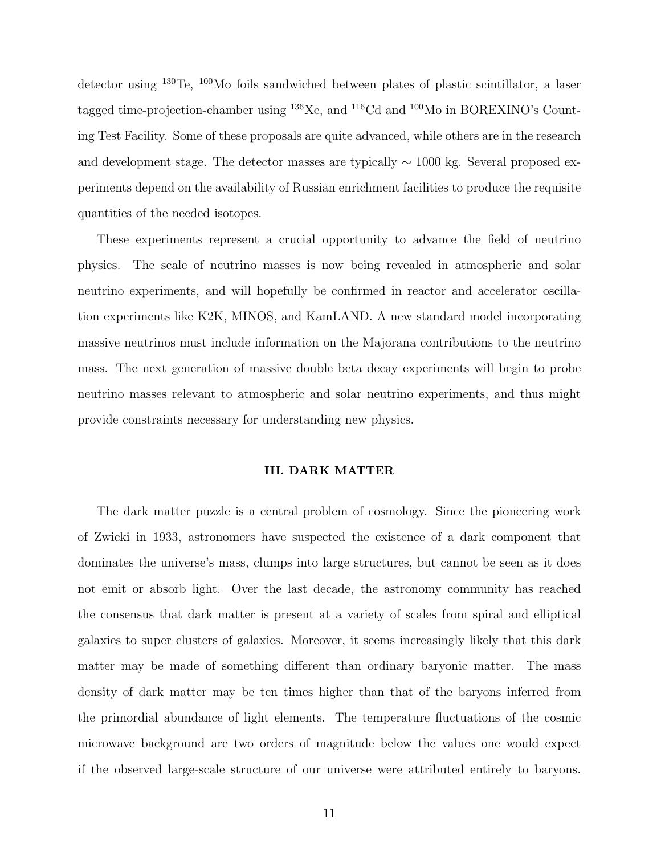detector using <sup>130</sup>Te, <sup>100</sup>Mo foils sandwiched between plates of plastic scintillator, a laser tagged time-projection-chamber using <sup>136</sup>Xe, and <sup>116</sup>Cd and <sup>100</sup>Mo in BOREXINO's Counting Test Facility. Some of these proposals are quite advanced, while others are in the research and development stage. The detector masses are typically ∼ 1000 kg. Several proposed experiments depend on the availability of Russian enrichment facilities to produce the requisite quantities of the needed isotopes.

These experiments represent a crucial opportunity to advance the field of neutrino physics. The scale of neutrino masses is now being revealed in atmospheric and solar neutrino experiments, and will hopefully be confirmed in reactor and accelerator oscillation experiments like K2K, MINOS, and KamLAND. A new standard model incorporating massive neutrinos must include information on the Majorana contributions to the neutrino mass. The next generation of massive double beta decay experiments will begin to probe neutrino masses relevant to atmospheric and solar neutrino experiments, and thus might provide constraints necessary for understanding new physics.

### **III. DARK MATTER**

The dark matter puzzle is a central problem of cosmology. Since the pioneering work of Zwicki in 1933, astronomers have suspected the existence of a dark component that dominates the universe's mass, clumps into large structures, but cannot be seen as it does not emit or absorb light. Over the last decade, the astronomy community has reached the consensus that dark matter is present at a variety of scales from spiral and elliptical galaxies to super clusters of galaxies. Moreover, it seems increasingly likely that this dark matter may be made of something different than ordinary baryonic matter. The mass density of dark matter may be ten times higher than that of the baryons inferred from the primordial abundance of light elements. The temperature fluctuations of the cosmic microwave background are two orders of magnitude below the values one would expect if the observed large-scale structure of our universe were attributed entirely to baryons.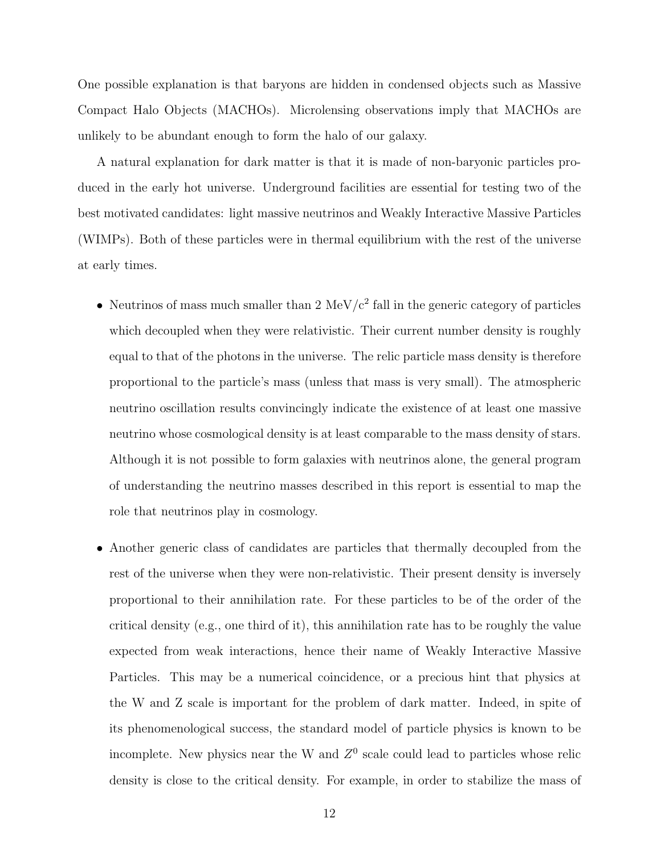One possible explanation is that baryons are hidden in condensed objects such as Massive Compact Halo Objects (MACHOs). Microlensing observations imply that MACHOs are unlikely to be abundant enough to form the halo of our galaxy.

A natural explanation for dark matter is that it is made of non-baryonic particles produced in the early hot universe. Underground facilities are essential for testing two of the best motivated candidates: light massive neutrinos and Weakly Interactive Massive Particles (WIMPs). Both of these particles were in thermal equilibrium with the rest of the universe at early times.

- Neutrinos of mass much smaller than 2 MeV/ $c^2$  fall in the generic category of particles which decoupled when they were relativistic. Their current number density is roughly equal to that of the photons in the universe. The relic particle mass density is therefore proportional to the particle's mass (unless that mass is very small). The atmospheric neutrino oscillation results convincingly indicate the existence of at least one massive neutrino whose cosmological density is at least comparable to the mass density of stars. Although it is not possible to form galaxies with neutrinos alone, the general program of understanding the neutrino masses described in this report is essential to map the role that neutrinos play in cosmology.
- Another generic class of candidates are particles that thermally decoupled from the rest of the universe when they were non-relativistic. Their present density is inversely proportional to their annihilation rate. For these particles to be of the order of the critical density (e.g., one third of it), this annihilation rate has to be roughly the value expected from weak interactions, hence their name of Weakly Interactive Massive Particles. This may be a numerical coincidence, or a precious hint that physics at the W and Z scale is important for the problem of dark matter. Indeed, in spite of its phenomenological success, the standard model of particle physics is known to be incomplete. New physics near the W and  $Z^0$  scale could lead to particles whose relic density is close to the critical density. For example, in order to stabilize the mass of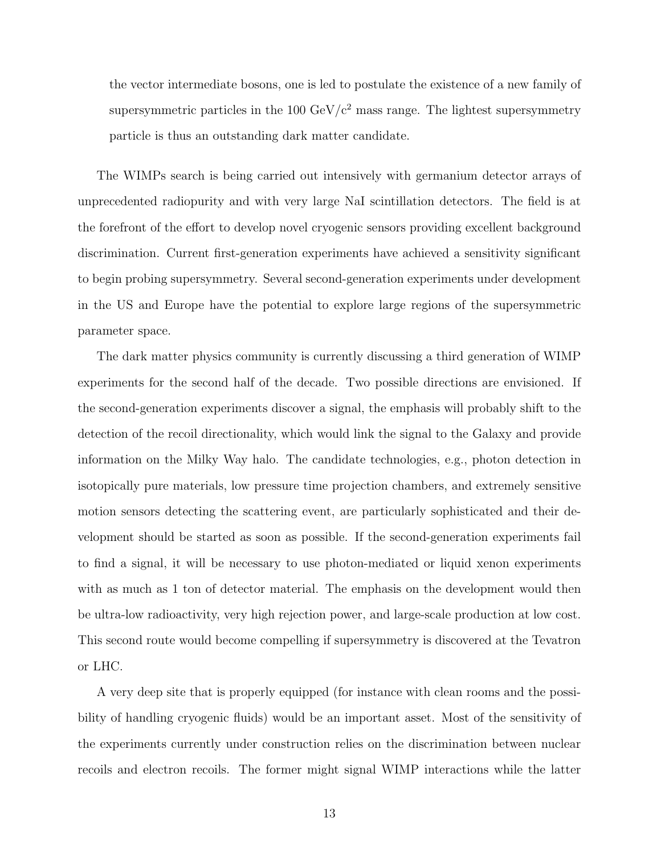the vector intermediate bosons, one is led to postulate the existence of a new family of supersymmetric particles in the 100  $\text{GeV}/c^2$  mass range. The lightest supersymmetry particle is thus an outstanding dark matter candidate.

The WIMPs search is being carried out intensively with germanium detector arrays of unprecedented radiopurity and with very large NaI scintillation detectors. The field is at the forefront of the effort to develop novel cryogenic sensors providing excellent background discrimination. Current first-generation experiments have achieved a sensitivity significant to begin probing supersymmetry. Several second-generation experiments under development in the US and Europe have the potential to explore large regions of the supersymmetric parameter space.

The dark matter physics community is currently discussing a third generation of WIMP experiments for the second half of the decade. Two possible directions are envisioned. If the second-generation experiments discover a signal, the emphasis will probably shift to the detection of the recoil directionality, which would link the signal to the Galaxy and provide information on the Milky Way halo. The candidate technologies, e.g., photon detection in isotopically pure materials, low pressure time projection chambers, and extremely sensitive motion sensors detecting the scattering event, are particularly sophisticated and their development should be started as soon as possible. If the second-generation experiments fail to find a signal, it will be necessary to use photon-mediated or liquid xenon experiments with as much as 1 ton of detector material. The emphasis on the development would then be ultra-low radioactivity, very high rejection power, and large-scale production at low cost. This second route would become compelling if supersymmetry is discovered at the Tevatron or LHC.

A very deep site that is properly equipped (for instance with clean rooms and the possibility of handling cryogenic fluids) would be an important asset. Most of the sensitivity of the experiments currently under construction relies on the discrimination between nuclear recoils and electron recoils. The former might signal WIMP interactions while the latter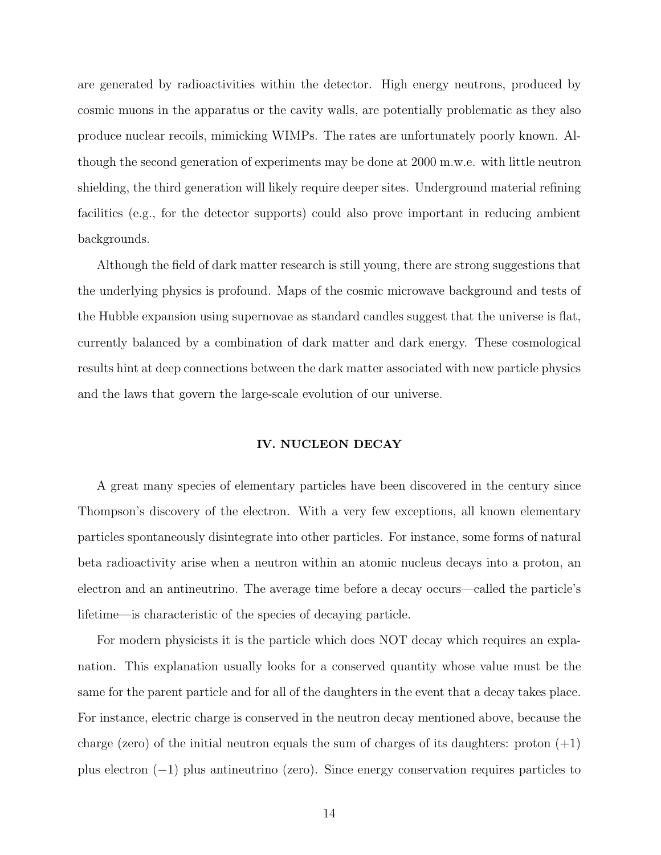are generated by radioactivities within the detector. High energy neutrons, produced by cosmic muons in the apparatus or the cavity walls, are potentially problematic as they also produce nuclear recoils, mimicking WIMPs. The rates are unfortunately poorly known. Although the second generation of experiments may be done at 2000 m.w.e. with little neutron shielding, the third generation will likely require deeper sites. Underground material refining facilities (e.g., for the detector supports) could also prove important in reducing ambient backgrounds.

Although the field of dark matter research is still young, there are strong suggestions that the underlying physics is profound. Maps of the cosmic microwave background and tests of the Hubble expansion using supernovae as standard candles suggest that the universe is flat, currently balanced by a combination of dark matter and dark energy. These cosmological results hint at deep connections between the dark matter associated with new particle physics and the laws that govern the large-scale evolution of our universe.

## **IV. NUCLEON DECAY**

A great many species of elementary particles have been discovered in the century since Thompson's discovery of the electron. With a very few exceptions, all known elementary particles spontaneously disintegrate into other particles. For instance, some forms of natural beta radioactivity arise when a neutron within an atomic nucleus decays into a proton, an electron and an antineutrino. The average time before a decay occurs—called the particle's lifetime—is characteristic of the species of decaying particle.

For modern physicists it is the particle which does NOT decay which requires an explanation. This explanation usually looks for a conserved quantity whose value must be the same for the parent particle and for all of the daughters in the event that a decay takes place. For instance, electric charge is conserved in the neutron decay mentioned above, because the charge (zero) of the initial neutron equals the sum of charges of its daughters: proton  $(+1)$ plus electron (−1) plus antineutrino (zero). Since energy conservation requires particles to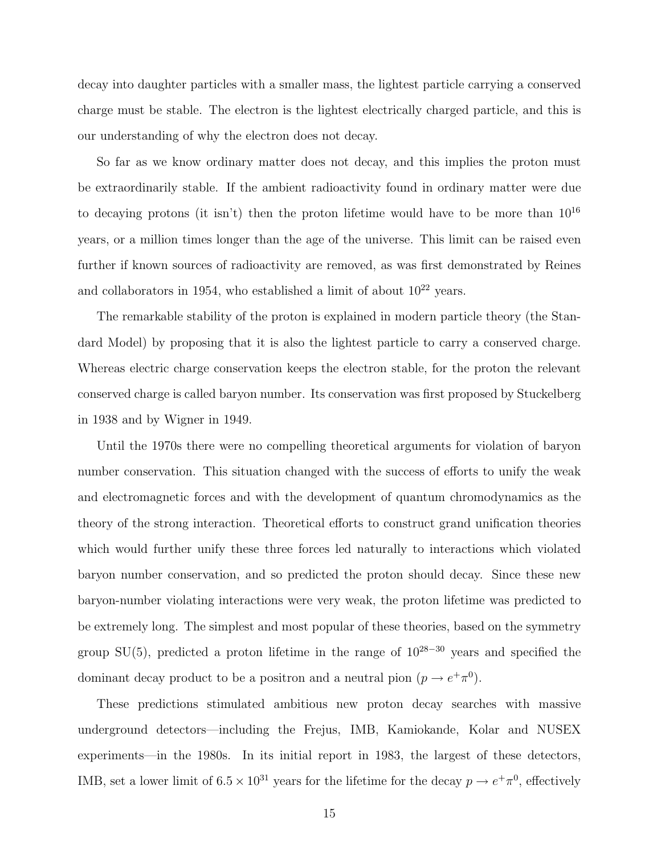decay into daughter particles with a smaller mass, the lightest particle carrying a conserved charge must be stable. The electron is the lightest electrically charged particle, and this is our understanding of why the electron does not decay.

So far as we know ordinary matter does not decay, and this implies the proton must be extraordinarily stable. If the ambient radioactivity found in ordinary matter were due to decaying protons (it isn't) then the proton lifetime would have to be more than  $10^{16}$ years, or a million times longer than the age of the universe. This limit can be raised even further if known sources of radioactivity are removed, as was first demonstrated by Reines and collaborators in 1954, who established a limit of about  $10^{22}$  years.

The remarkable stability of the proton is explained in modern particle theory (the Standard Model) by proposing that it is also the lightest particle to carry a conserved charge. Whereas electric charge conservation keeps the electron stable, for the proton the relevant conserved charge is called baryon number. Its conservation was first proposed by Stuckelberg in 1938 and by Wigner in 1949.

Until the 1970s there were no compelling theoretical arguments for violation of baryon number conservation. This situation changed with the success of efforts to unify the weak and electromagnetic forces and with the development of quantum chromodynamics as the theory of the strong interaction. Theoretical efforts to construct grand unification theories which would further unify these three forces led naturally to interactions which violated baryon number conservation, and so predicted the proton should decay. Since these new baryon-number violating interactions were very weak, the proton lifetime was predicted to be extremely long. The simplest and most popular of these theories, based on the symmetry group SU(5), predicted a proton lifetime in the range of  $10^{28-30}$  years and specified the dominant decay product to be a positron and a neutral pion  $(p \to e^+ \pi^0)$ .

These predictions stimulated ambitious new proton decay searches with massive underground detectors—including the Frejus, IMB, Kamiokande, Kolar and NUSEX experiments—in the 1980s. In its initial report in 1983, the largest of these detectors, IMB, set a lower limit of  $6.5 \times 10^{31}$  years for the lifetime for the decay  $p \to e^+ \pi^0$ , effectively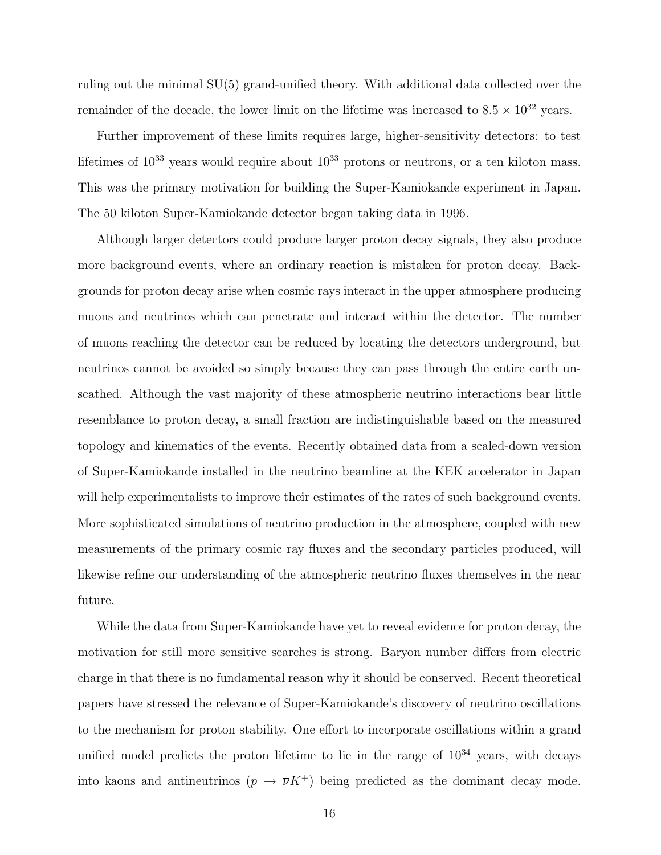ruling out the minimal SU(5) grand-unified theory. With additional data collected over the remainder of the decade, the lower limit on the lifetime was increased to  $8.5 \times 10^{32}$  years.

Further improvement of these limits requires large, higher-sensitivity detectors: to test lifetimes of  $10^{33}$  years would require about  $10^{33}$  protons or neutrons, or a ten kiloton mass. This was the primary motivation for building the Super-Kamiokande experiment in Japan. The 50 kiloton Super-Kamiokande detector began taking data in 1996.

Although larger detectors could produce larger proton decay signals, they also produce more background events, where an ordinary reaction is mistaken for proton decay. Backgrounds for proton decay arise when cosmic rays interact in the upper atmosphere producing muons and neutrinos which can penetrate and interact within the detector. The number of muons reaching the detector can be reduced by locating the detectors underground, but neutrinos cannot be avoided so simply because they can pass through the entire earth unscathed. Although the vast majority of these atmospheric neutrino interactions bear little resemblance to proton decay, a small fraction are indistinguishable based on the measured topology and kinematics of the events. Recently obtained data from a scaled-down version of Super-Kamiokande installed in the neutrino beamline at the KEK accelerator in Japan will help experimentalists to improve their estimates of the rates of such background events. More sophisticated simulations of neutrino production in the atmosphere, coupled with new measurements of the primary cosmic ray fluxes and the secondary particles produced, will likewise refine our understanding of the atmospheric neutrino fluxes themselves in the near future.

While the data from Super-Kamiokande have yet to reveal evidence for proton decay, the motivation for still more sensitive searches is strong. Baryon number differs from electric charge in that there is no fundamental reason why it should be conserved. Recent theoretical papers have stressed the relevance of Super-Kamiokande's discovery of neutrino oscillations to the mechanism for proton stability. One effort to incorporate oscillations within a grand unified model predicts the proton lifetime to lie in the range of  $10^{34}$  years, with decays into kaons and antineutrinos  $(p \to \overline{\nu} K^+)$  being predicted as the dominant decay mode.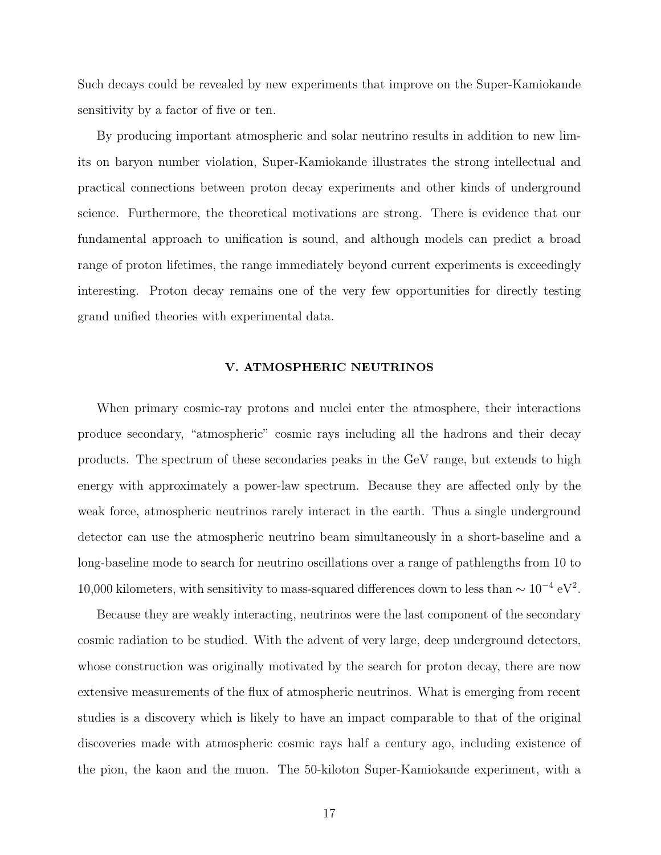Such decays could be revealed by new experiments that improve on the Super-Kamiokande sensitivity by a factor of five or ten.

By producing important atmospheric and solar neutrino results in addition to new limits on baryon number violation, Super-Kamiokande illustrates the strong intellectual and practical connections between proton decay experiments and other kinds of underground science. Furthermore, the theoretical motivations are strong. There is evidence that our fundamental approach to unification is sound, and although models can predict a broad range of proton lifetimes, the range immediately beyond current experiments is exceedingly interesting. Proton decay remains one of the very few opportunities for directly testing grand unified theories with experimental data.

### **V. ATMOSPHERIC NEUTRINOS**

When primary cosmic-ray protons and nuclei enter the atmosphere, their interactions produce secondary, "atmospheric" cosmic rays including all the hadrons and their decay products. The spectrum of these secondaries peaks in the GeV range, but extends to high energy with approximately a power-law spectrum. Because they are affected only by the weak force, atmospheric neutrinos rarely interact in the earth. Thus a single underground detector can use the atmospheric neutrino beam simultaneously in a short-baseline and a long-baseline mode to search for neutrino oscillations over a range of pathlengths from 10 to 10,000 kilometers, with sensitivity to mass-squared differences down to less than  $\sim 10^{-4} \text{ eV}^2$ .

Because they are weakly interacting, neutrinos were the last component of the secondary cosmic radiation to be studied. With the advent of very large, deep underground detectors, whose construction was originally motivated by the search for proton decay, there are now extensive measurements of the flux of atmospheric neutrinos. What is emerging from recent studies is a discovery which is likely to have an impact comparable to that of the original discoveries made with atmospheric cosmic rays half a century ago, including existence of the pion, the kaon and the muon. The 50-kiloton Super-Kamiokande experiment, with a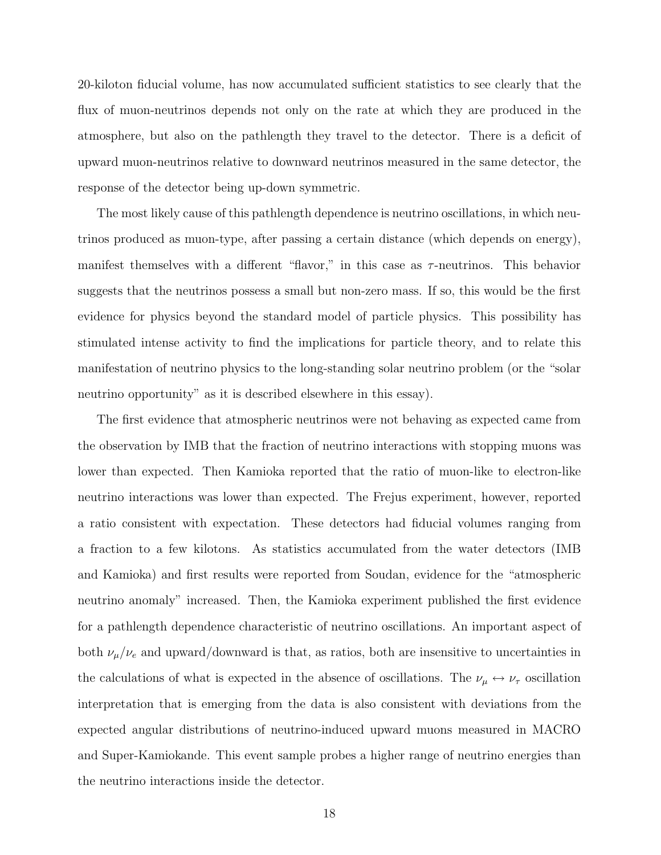20-kiloton fiducial volume, has now accumulated sufficient statistics to see clearly that the flux of muon-neutrinos depends not only on the rate at which they are produced in the atmosphere, but also on the pathlength they travel to the detector. There is a deficit of upward muon-neutrinos relative to downward neutrinos measured in the same detector, the response of the detector being up-down symmetric.

The most likely cause of this pathlength dependence is neutrino oscillations, in which neutrinos produced as muon-type, after passing a certain distance (which depends on energy), manifest themselves with a different "flavor," in this case as  $\tau$ -neutrinos. This behavior suggests that the neutrinos possess a small but non-zero mass. If so, this would be the first evidence for physics beyond the standard model of particle physics. This possibility has stimulated intense activity to find the implications for particle theory, and to relate this manifestation of neutrino physics to the long-standing solar neutrino problem (or the "solar neutrino opportunity" as it is described elsewhere in this essay).

The first evidence that atmospheric neutrinos were not behaving as expected came from the observation by IMB that the fraction of neutrino interactions with stopping muons was lower than expected. Then Kamioka reported that the ratio of muon-like to electron-like neutrino interactions was lower than expected. The Frejus experiment, however, reported a ratio consistent with expectation. These detectors had fiducial volumes ranging from a fraction to a few kilotons. As statistics accumulated from the water detectors (IMB and Kamioka) and first results were reported from Soudan, evidence for the "atmospheric neutrino anomaly" increased. Then, the Kamioka experiment published the first evidence for a pathlength dependence characteristic of neutrino oscillations. An important aspect of both  $\nu_{\mu}/\nu_{e}$  and upward/downward is that, as ratios, both are insensitive to uncertainties in the calculations of what is expected in the absence of oscillations. The  $\nu_{\mu} \leftrightarrow \nu_{\tau}$  oscillation interpretation that is emerging from the data is also consistent with deviations from the expected angular distributions of neutrino-induced upward muons measured in MACRO and Super-Kamiokande. This event sample probes a higher range of neutrino energies than the neutrino interactions inside the detector.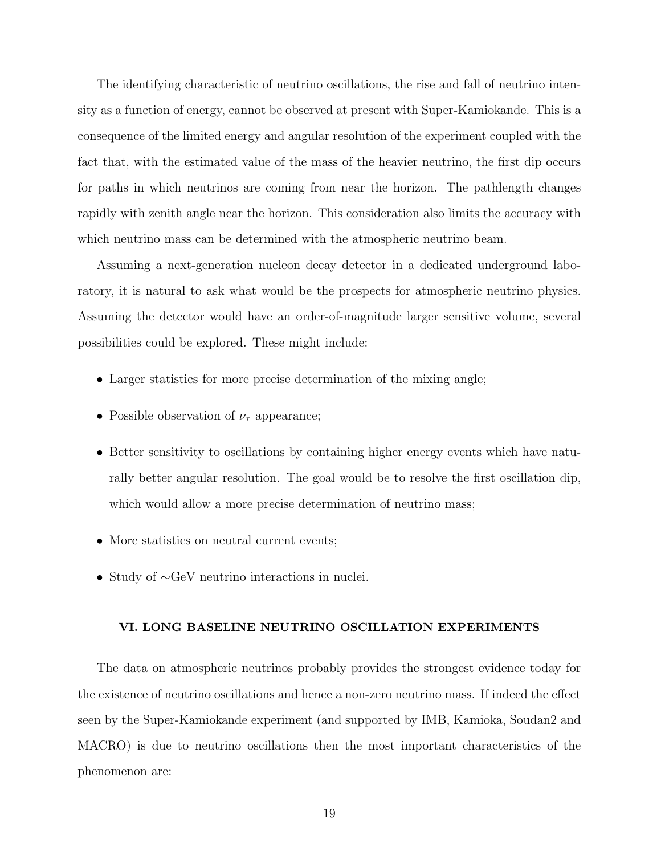The identifying characteristic of neutrino oscillations, the rise and fall of neutrino intensity as a function of energy, cannot be observed at present with Super-Kamiokande. This is a consequence of the limited energy and angular resolution of the experiment coupled with the fact that, with the estimated value of the mass of the heavier neutrino, the first dip occurs for paths in which neutrinos are coming from near the horizon. The pathlength changes rapidly with zenith angle near the horizon. This consideration also limits the accuracy with which neutrino mass can be determined with the atmospheric neutrino beam.

Assuming a next-generation nucleon decay detector in a dedicated underground laboratory, it is natural to ask what would be the prospects for atmospheric neutrino physics. Assuming the detector would have an order-of-magnitude larger sensitive volume, several possibilities could be explored. These might include:

- Larger statistics for more precise determination of the mixing angle;
- Possible observation of  $\nu_{\tau}$  appearance;
- Better sensitivity to oscillations by containing higher energy events which have naturally better angular resolution. The goal would be to resolve the first oscillation dip, which would allow a more precise determination of neutrino mass;
- More statistics on neutral current events;
- Study of ∼GeV neutrino interactions in nuclei.

### **VI. LONG BASELINE NEUTRINO OSCILLATION EXPERIMENTS**

The data on atmospheric neutrinos probably provides the strongest evidence today for the existence of neutrino oscillations and hence a non-zero neutrino mass. If indeed the effect seen by the Super-Kamiokande experiment (and supported by IMB, Kamioka, Soudan2 and MACRO) is due to neutrino oscillations then the most important characteristics of the phenomenon are: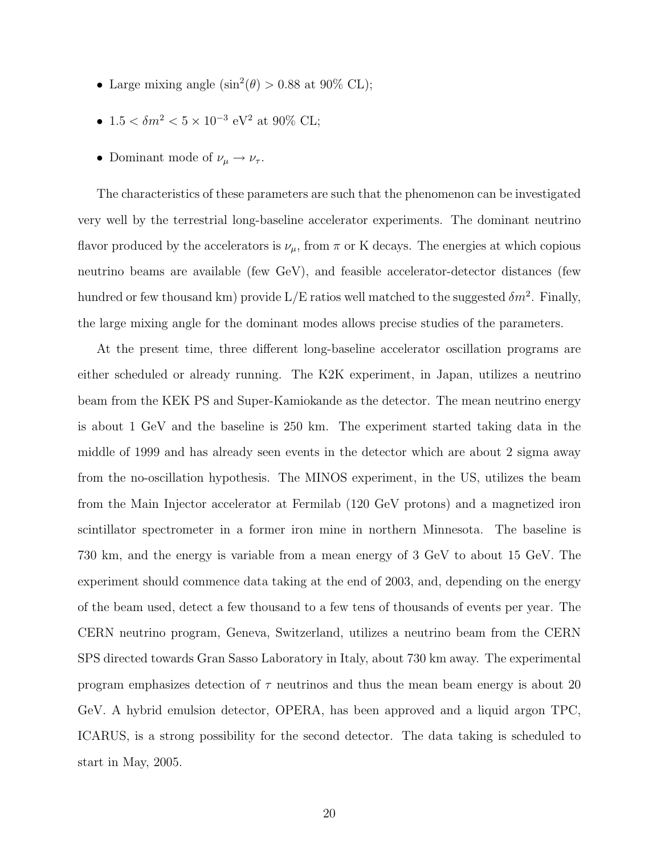- Large mixing angle  $(\sin^2(\theta) > 0.88$  at 90% CL);
- $1.5 < \delta m^2 < 5 \times 10^{-3}$  eV<sup>2</sup> at 90% CL;
- Dominant mode of  $\nu_\mu \to \nu_\tau$ .

The characteristics of these parameters are such that the phenomenon can be investigated very well by the terrestrial long-baseline accelerator experiments. The dominant neutrino flavor produced by the accelerators is  $\nu_{\mu}$ , from  $\pi$  or K decays. The energies at which copious neutrino beams are available (few GeV), and feasible accelerator-detector distances (few hundred or few thousand km) provide  $L/E$  ratios well matched to the suggested  $\delta m^2$ . Finally, the large mixing angle for the dominant modes allows precise studies of the parameters.

At the present time, three different long-baseline accelerator oscillation programs are either scheduled or already running. The K2K experiment, in Japan, utilizes a neutrino beam from the KEK PS and Super-Kamiokande as the detector. The mean neutrino energy is about 1 GeV and the baseline is 250 km. The experiment started taking data in the middle of 1999 and has already seen events in the detector which are about 2 sigma away from the no-oscillation hypothesis. The MINOS experiment, in the US, utilizes the beam from the Main Injector accelerator at Fermilab (120 GeV protons) and a magnetized iron scintillator spectrometer in a former iron mine in northern Minnesota. The baseline is 730 km, and the energy is variable from a mean energy of 3 GeV to about 15 GeV. The experiment should commence data taking at the end of 2003, and, depending on the energy of the beam used, detect a few thousand to a few tens of thousands of events per year. The CERN neutrino program, Geneva, Switzerland, utilizes a neutrino beam from the CERN SPS directed towards Gran Sasso Laboratory in Italy, about 730 km away. The experimental program emphasizes detection of  $\tau$  neutrinos and thus the mean beam energy is about 20 GeV. A hybrid emulsion detector, OPERA, has been approved and a liquid argon TPC, ICARUS, is a strong possibility for the second detector. The data taking is scheduled to start in May, 2005.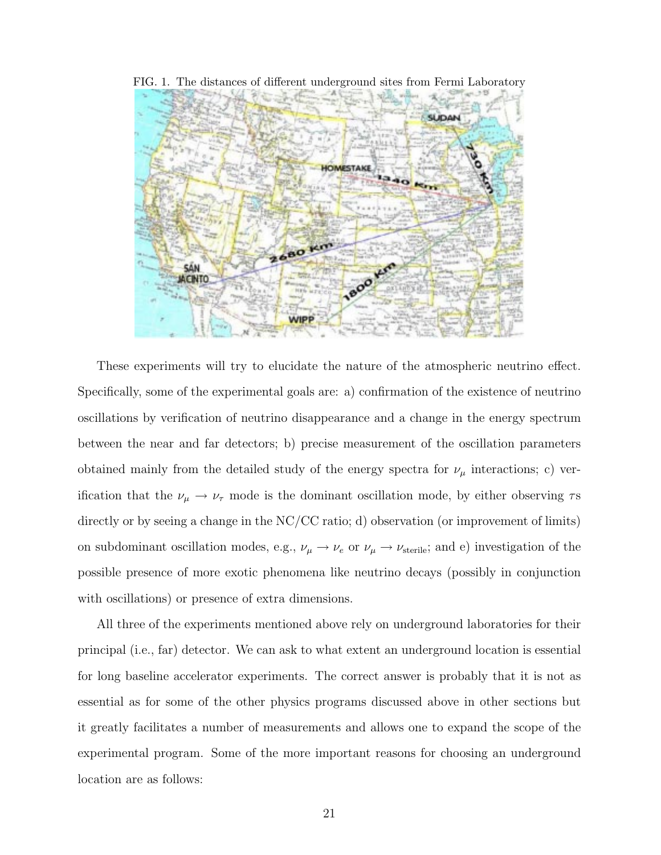

FIG. 1. The distances of different underground sites from Fermi Laboratory

These experiments will try to elucidate the nature of the atmospheric neutrino effect. Specifically, some of the experimental goals are: a) confirmation of the existence of neutrino oscillations by verification of neutrino disappearance and a change in the energy spectrum between the near and far detectors; b) precise measurement of the oscillation parameters obtained mainly from the detailed study of the energy spectra for  $\nu_{\mu}$  interactions; c) verification that the  $\nu_{\mu} \rightarrow \nu_{\tau}$  mode is the dominant oscillation mode, by either observing  $\tau$ s directly or by seeing a change in the NC/CC ratio; d) observation (or improvement of limits) on subdominant oscillation modes, e.g.,  $\nu_{\mu} \rightarrow \nu_{e}$  or  $\nu_{\mu} \rightarrow \nu_{\text{sterile}}$ ; and e) investigation of the possible presence of more exotic phenomena like neutrino decays (possibly in conjunction with oscillations) or presence of extra dimensions.

All three of the experiments mentioned above rely on underground laboratories for their principal (i.e., far) detector. We can ask to what extent an underground location is essential for long baseline accelerator experiments. The correct answer is probably that it is not as essential as for some of the other physics programs discussed above in other sections but it greatly facilitates a number of measurements and allows one to expand the scope of the experimental program. Some of the more important reasons for choosing an underground location are as follows: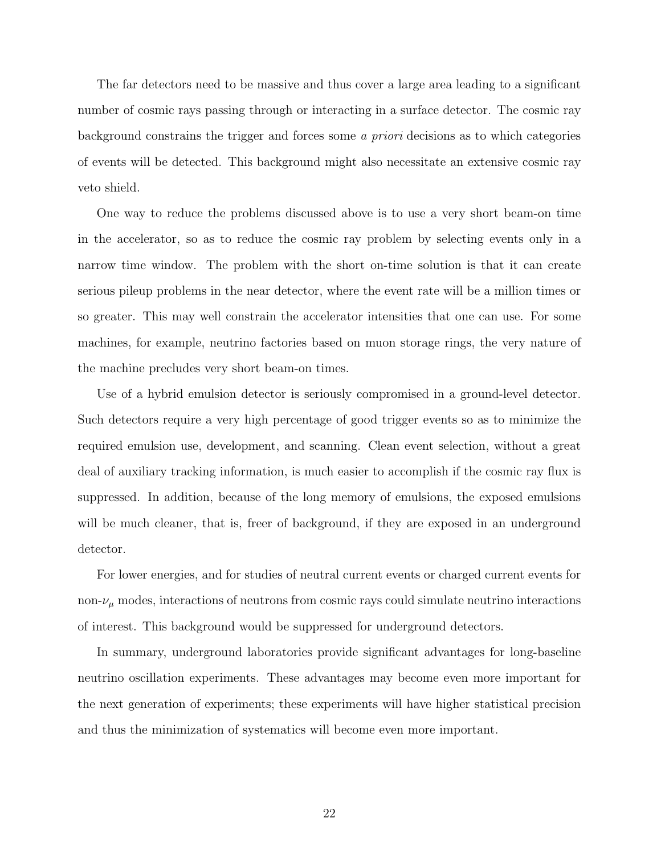The far detectors need to be massive and thus cover a large area leading to a significant number of cosmic rays passing through or interacting in a surface detector. The cosmic ray background constrains the trigger and forces some a priori decisions as to which categories of events will be detected. This background might also necessitate an extensive cosmic ray veto shield.

One way to reduce the problems discussed above is to use a very short beam-on time in the accelerator, so as to reduce the cosmic ray problem by selecting events only in a narrow time window. The problem with the short on-time solution is that it can create serious pileup problems in the near detector, where the event rate will be a million times or so greater. This may well constrain the accelerator intensities that one can use. For some machines, for example, neutrino factories based on muon storage rings, the very nature of the machine precludes very short beam-on times.

Use of a hybrid emulsion detector is seriously compromised in a ground-level detector. Such detectors require a very high percentage of good trigger events so as to minimize the required emulsion use, development, and scanning. Clean event selection, without a great deal of auxiliary tracking information, is much easier to accomplish if the cosmic ray flux is suppressed. In addition, because of the long memory of emulsions, the exposed emulsions will be much cleaner, that is, freer of background, if they are exposed in an underground detector.

For lower energies, and for studies of neutral current events or charged current events for non- $\nu_{\mu}$  modes, interactions of neutrons from cosmic rays could simulate neutrino interactions of interest. This background would be suppressed for underground detectors.

In summary, underground laboratories provide significant advantages for long-baseline neutrino oscillation experiments. These advantages may become even more important for the next generation of experiments; these experiments will have higher statistical precision and thus the minimization of systematics will become even more important.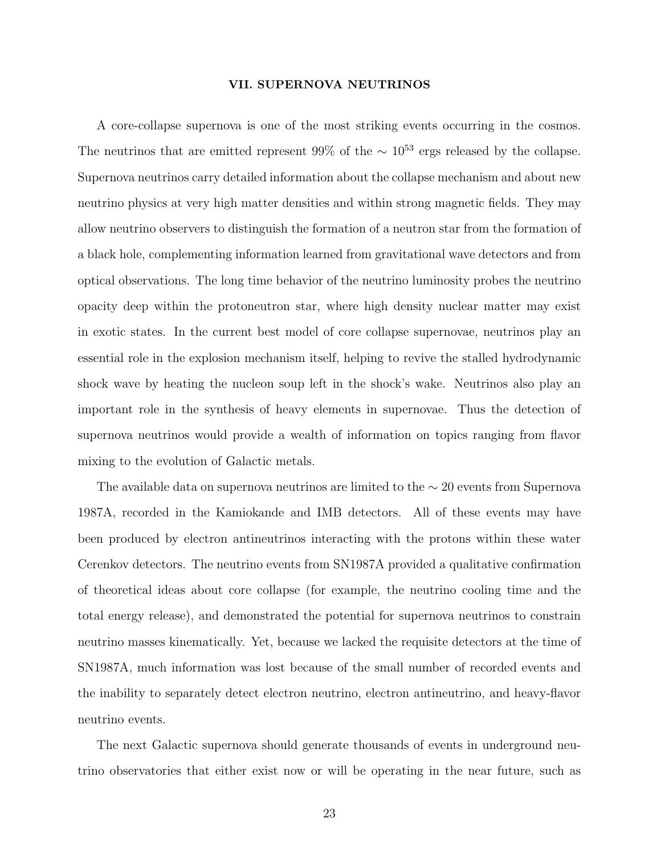#### **VII. SUPERNOVA NEUTRINOS**

A core-collapse supernova is one of the most striking events occurring in the cosmos. The neutrinos that are emitted represent 99% of the  $\sim 10^{53}$  ergs released by the collapse. Supernova neutrinos carry detailed information about the collapse mechanism and about new neutrino physics at very high matter densities and within strong magnetic fields. They may allow neutrino observers to distinguish the formation of a neutron star from the formation of a black hole, complementing information learned from gravitational wave detectors and from optical observations. The long time behavior of the neutrino luminosity probes the neutrino opacity deep within the protoneutron star, where high density nuclear matter may exist in exotic states. In the current best model of core collapse supernovae, neutrinos play an essential role in the explosion mechanism itself, helping to revive the stalled hydrodynamic shock wave by heating the nucleon soup left in the shock's wake. Neutrinos also play an important role in the synthesis of heavy elements in supernovae. Thus the detection of supernova neutrinos would provide a wealth of information on topics ranging from flavor mixing to the evolution of Galactic metals.

The available data on supernova neutrinos are limited to the  $\sim 20$  events from Supernova 1987A, recorded in the Kamiokande and IMB detectors. All of these events may have been produced by electron antineutrinos interacting with the protons within these water Cerenkov detectors. The neutrino events from SN1987A provided a qualitative confirmation of theoretical ideas about core collapse (for example, the neutrino cooling time and the total energy release), and demonstrated the potential for supernova neutrinos to constrain neutrino masses kinematically. Yet, because we lacked the requisite detectors at the time of SN1987A, much information was lost because of the small number of recorded events and the inability to separately detect electron neutrino, electron antineutrino, and heavy-flavor neutrino events.

The next Galactic supernova should generate thousands of events in underground neutrino observatories that either exist now or will be operating in the near future, such as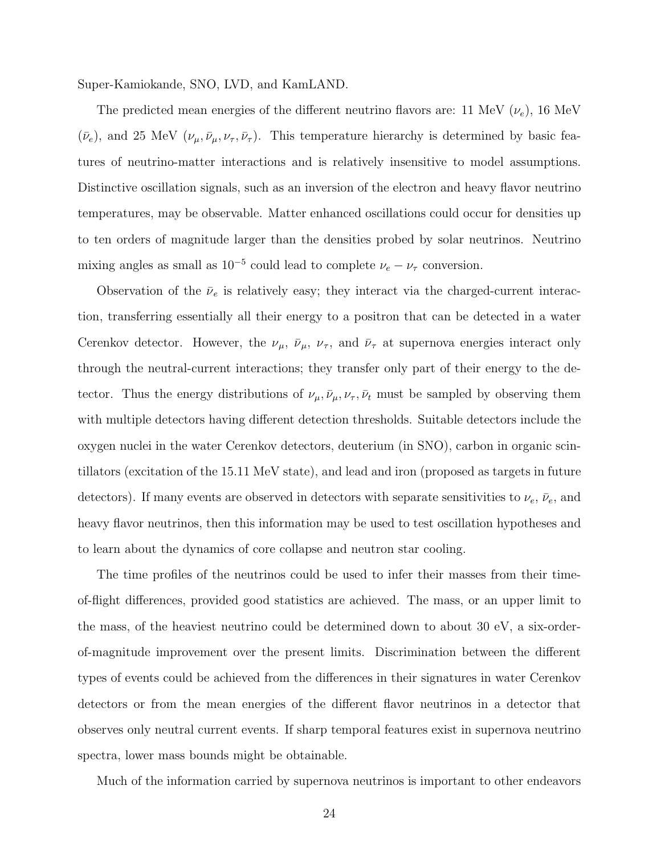Super-Kamiokande, SNO, LVD, and KamLAND.

The predicted mean energies of the different neutrino flavors are: 11 MeV  $(\nu_e)$ , 16 MeV  $(\bar{\nu}_e)$ , and 25 MeV  $(\nu_\mu, \bar{\nu}_\mu, \nu_\tau, \bar{\nu}_\tau)$ . This temperature hierarchy is determined by basic features of neutrino-matter interactions and is relatively insensitive to model assumptions. Distinctive oscillation signals, such as an inversion of the electron and heavy flavor neutrino temperatures, may be observable. Matter enhanced oscillations could occur for densities up to ten orders of magnitude larger than the densities probed by solar neutrinos. Neutrino mixing angles as small as  $10^{-5}$  could lead to complete  $\nu_e-\nu_\tau$  conversion.

Observation of the  $\bar{\nu}_e$  is relatively easy; they interact via the charged-current interaction, transferring essentially all their energy to a positron that can be detected in a water Cerenkov detector. However, the  $\nu_{\mu}$ ,  $\bar{\nu}_{\mu}$ ,  $\nu_{\tau}$ , and  $\bar{\nu}_{\tau}$  at supernova energies interact only through the neutral-current interactions; they transfer only part of their energy to the detector. Thus the energy distributions of  $\nu_\mu, \bar{\nu}_\mu, \nu_\tau, \bar{\nu}_t$  must be sampled by observing them with multiple detectors having different detection thresholds. Suitable detectors include the oxygen nuclei in the water Cerenkov detectors, deuterium (in SNO), carbon in organic scintillators (excitation of the 15.11 MeV state), and lead and iron (proposed as targets in future detectors). If many events are observed in detectors with separate sensitivities to  $\nu_e$ ,  $\bar{\nu}_e$ , and heavy flavor neutrinos, then this information may be used to test oscillation hypotheses and to learn about the dynamics of core collapse and neutron star cooling.

The time profiles of the neutrinos could be used to infer their masses from their timeof-flight differences, provided good statistics are achieved. The mass, or an upper limit to the mass, of the heaviest neutrino could be determined down to about 30 eV, a six-orderof-magnitude improvement over the present limits. Discrimination between the different types of events could be achieved from the differences in their signatures in water Cerenkov detectors or from the mean energies of the different flavor neutrinos in a detector that observes only neutral current events. If sharp temporal features exist in supernova neutrino spectra, lower mass bounds might be obtainable.

Much of the information carried by supernova neutrinos is important to other endeavors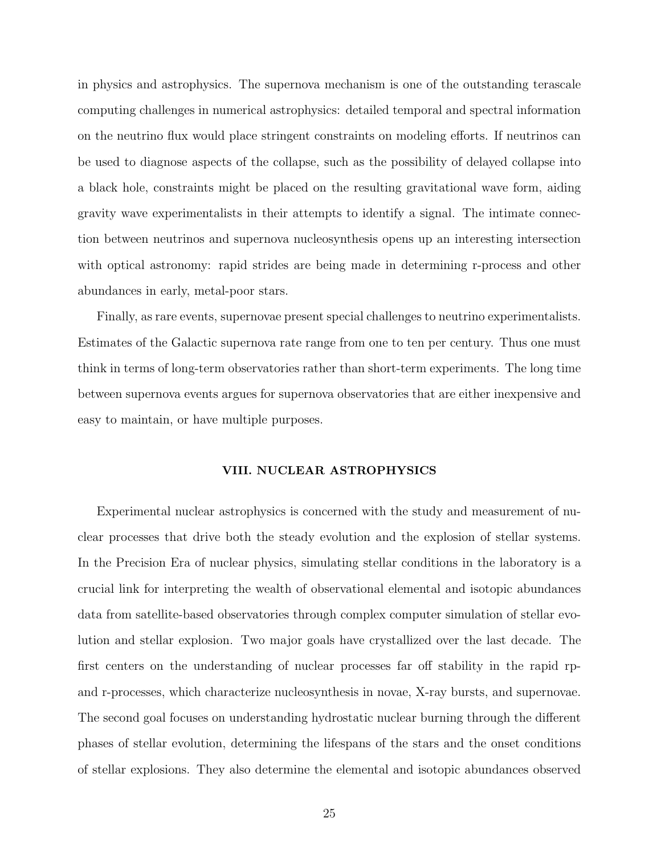in physics and astrophysics. The supernova mechanism is one of the outstanding terascale computing challenges in numerical astrophysics: detailed temporal and spectral information on the neutrino flux would place stringent constraints on modeling efforts. If neutrinos can be used to diagnose aspects of the collapse, such as the possibility of delayed collapse into a black hole, constraints might be placed on the resulting gravitational wave form, aiding gravity wave experimentalists in their attempts to identify a signal. The intimate connection between neutrinos and supernova nucleosynthesis opens up an interesting intersection with optical astronomy: rapid strides are being made in determining r-process and other abundances in early, metal-poor stars.

Finally, as rare events, supernovae present special challenges to neutrino experimentalists. Estimates of the Galactic supernova rate range from one to ten per century. Thus one must think in terms of long-term observatories rather than short-term experiments. The long time between supernova events argues for supernova observatories that are either inexpensive and easy to maintain, or have multiple purposes.

### **VIII. NUCLEAR ASTROPHYSICS**

Experimental nuclear astrophysics is concerned with the study and measurement of nuclear processes that drive both the steady evolution and the explosion of stellar systems. In the Precision Era of nuclear physics, simulating stellar conditions in the laboratory is a crucial link for interpreting the wealth of observational elemental and isotopic abundances data from satellite-based observatories through complex computer simulation of stellar evolution and stellar explosion. Two major goals have crystallized over the last decade. The first centers on the understanding of nuclear processes far off stability in the rapid rpand r-processes, which characterize nucleosynthesis in novae, X-ray bursts, and supernovae. The second goal focuses on understanding hydrostatic nuclear burning through the different phases of stellar evolution, determining the lifespans of the stars and the onset conditions of stellar explosions. They also determine the elemental and isotopic abundances observed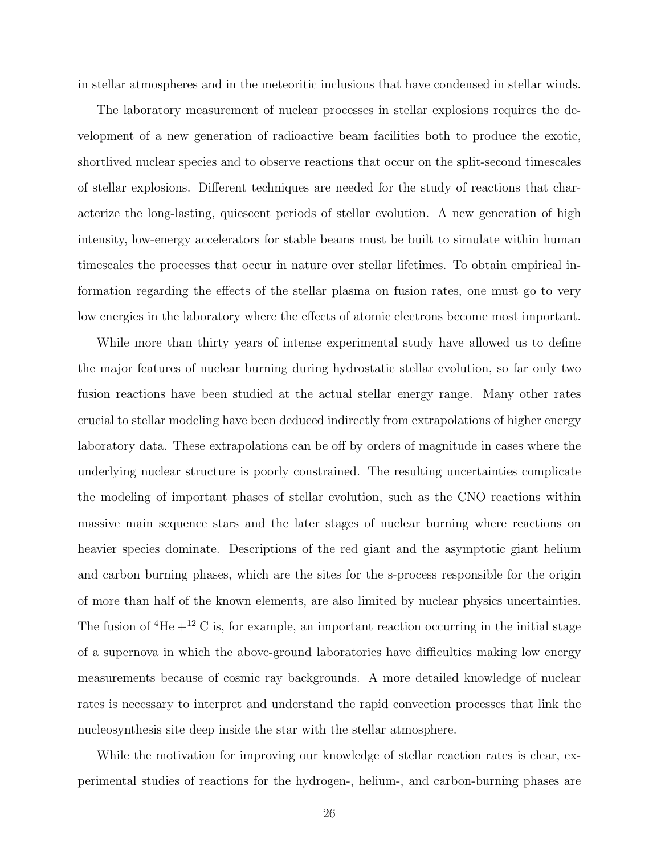in stellar atmospheres and in the meteoritic inclusions that have condensed in stellar winds.

The laboratory measurement of nuclear processes in stellar explosions requires the development of a new generation of radioactive beam facilities both to produce the exotic, shortlived nuclear species and to observe reactions that occur on the split-second timescales of stellar explosions. Different techniques are needed for the study of reactions that characterize the long-lasting, quiescent periods of stellar evolution. A new generation of high intensity, low-energy accelerators for stable beams must be built to simulate within human timescales the processes that occur in nature over stellar lifetimes. To obtain empirical information regarding the effects of the stellar plasma on fusion rates, one must go to very low energies in the laboratory where the effects of atomic electrons become most important.

While more than thirty years of intense experimental study have allowed us to define the major features of nuclear burning during hydrostatic stellar evolution, so far only two fusion reactions have been studied at the actual stellar energy range. Many other rates crucial to stellar modeling have been deduced indirectly from extrapolations of higher energy laboratory data. These extrapolations can be off by orders of magnitude in cases where the underlying nuclear structure is poorly constrained. The resulting uncertainties complicate the modeling of important phases of stellar evolution, such as the CNO reactions within massive main sequence stars and the later stages of nuclear burning where reactions on heavier species dominate. Descriptions of the red giant and the asymptotic giant helium and carbon burning phases, which are the sites for the s-process responsible for the origin of more than half of the known elements, are also limited by nuclear physics uncertainties. The fusion of  ${}^{4}$ He  $+{}^{12}$  C is, for example, an important reaction occurring in the initial stage of a supernova in which the above-ground laboratories have difficulties making low energy measurements because of cosmic ray backgrounds. A more detailed knowledge of nuclear rates is necessary to interpret and understand the rapid convection processes that link the nucleosynthesis site deep inside the star with the stellar atmosphere.

While the motivation for improving our knowledge of stellar reaction rates is clear, experimental studies of reactions for the hydrogen-, helium-, and carbon-burning phases are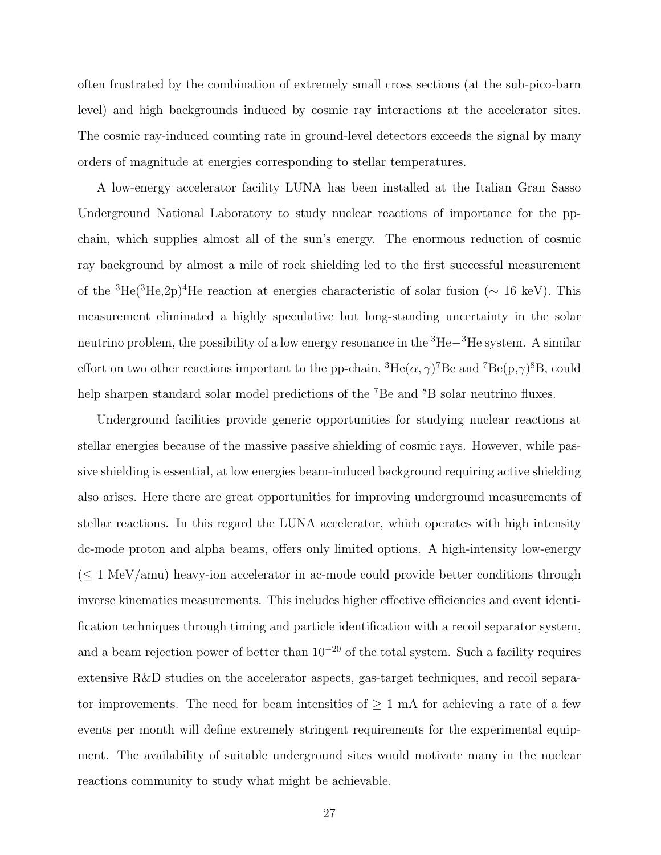often frustrated by the combination of extremely small cross sections (at the sub-pico-barn level) and high backgrounds induced by cosmic ray interactions at the accelerator sites. The cosmic ray-induced counting rate in ground-level detectors exceeds the signal by many orders of magnitude at energies corresponding to stellar temperatures.

A low-energy accelerator facility LUNA has been installed at the Italian Gran Sasso Underground National Laboratory to study nuclear reactions of importance for the ppchain, which supplies almost all of the sun's energy. The enormous reduction of cosmic ray background by almost a mile of rock shielding led to the first successful measurement of the <sup>3</sup>He(<sup>3</sup>He,2p)<sup>4</sup>He reaction at energies characteristic of solar fusion ( $\sim 16 \text{ keV}$ ). This measurement eliminated a highly speculative but long-standing uncertainty in the solar neutrino problem, the possibility of a low energy resonance in the <sup>3</sup>He−<sup>3</sup>He system. A similar effort on two other reactions important to the pp-chain,  ${}^{3}He(\alpha, \gamma)^{7}Be$  and  ${}^{7}Be(p, \gamma)^{8}B$ , could help sharpen standard solar model predictions of the <sup>7</sup>Be and <sup>8</sup>B solar neutrino fluxes.

Underground facilities provide generic opportunities for studying nuclear reactions at stellar energies because of the massive passive shielding of cosmic rays. However, while passive shielding is essential, at low energies beam-induced background requiring active shielding also arises. Here there are great opportunities for improving underground measurements of stellar reactions. In this regard the LUNA accelerator, which operates with high intensity dc-mode proton and alpha beams, offers only limited options. A high-intensity low-energy  $(\leq 1 \text{ MeV} / \text{amu})$  heavy-ion accelerator in ac-mode could provide better conditions through inverse kinematics measurements. This includes higher effective efficiencies and event identification techniques through timing and particle identification with a recoil separator system, and a beam rejection power of better than 10−<sup>20</sup> of the total system. Such a facility requires extensive R&D studies on the accelerator aspects, gas-target techniques, and recoil separator improvements. The need for beam intensities of  $\geq 1$  mA for achieving a rate of a few events per month will define extremely stringent requirements for the experimental equipment. The availability of suitable underground sites would motivate many in the nuclear reactions community to study what might be achievable.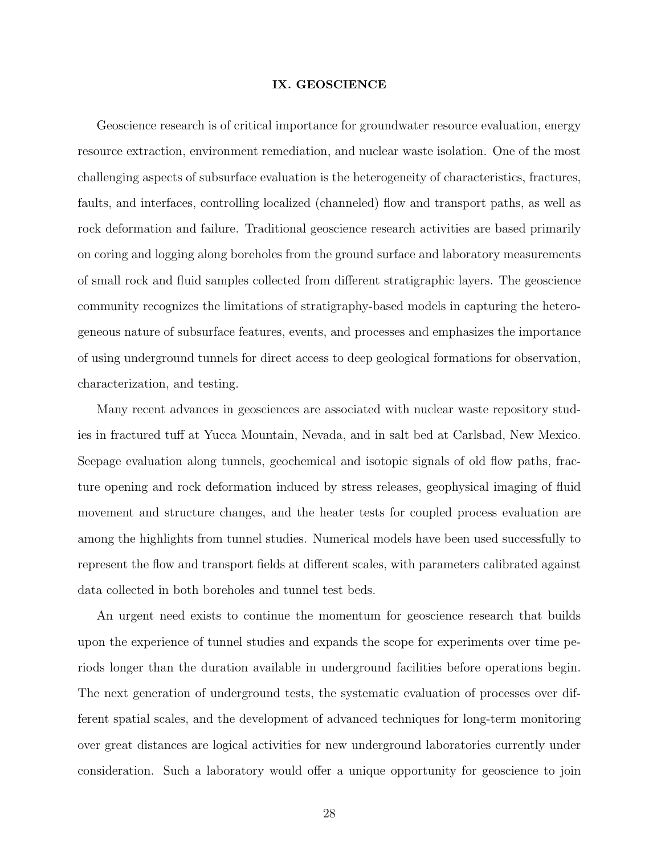### **IX. GEOSCIENCE**

Geoscience research is of critical importance for groundwater resource evaluation, energy resource extraction, environment remediation, and nuclear waste isolation. One of the most challenging aspects of subsurface evaluation is the heterogeneity of characteristics, fractures, faults, and interfaces, controlling localized (channeled) flow and transport paths, as well as rock deformation and failure. Traditional geoscience research activities are based primarily on coring and logging along boreholes from the ground surface and laboratory measurements of small rock and fluid samples collected from different stratigraphic layers. The geoscience community recognizes the limitations of stratigraphy-based models in capturing the heterogeneous nature of subsurface features, events, and processes and emphasizes the importance of using underground tunnels for direct access to deep geological formations for observation, characterization, and testing.

Many recent advances in geosciences are associated with nuclear waste repository studies in fractured tuff at Yucca Mountain, Nevada, and in salt bed at Carlsbad, New Mexico. Seepage evaluation along tunnels, geochemical and isotopic signals of old flow paths, fracture opening and rock deformation induced by stress releases, geophysical imaging of fluid movement and structure changes, and the heater tests for coupled process evaluation are among the highlights from tunnel studies. Numerical models have been used successfully to represent the flow and transport fields at different scales, with parameters calibrated against data collected in both boreholes and tunnel test beds.

An urgent need exists to continue the momentum for geoscience research that builds upon the experience of tunnel studies and expands the scope for experiments over time periods longer than the duration available in underground facilities before operations begin. The next generation of underground tests, the systematic evaluation of processes over different spatial scales, and the development of advanced techniques for long-term monitoring over great distances are logical activities for new underground laboratories currently under consideration. Such a laboratory would offer a unique opportunity for geoscience to join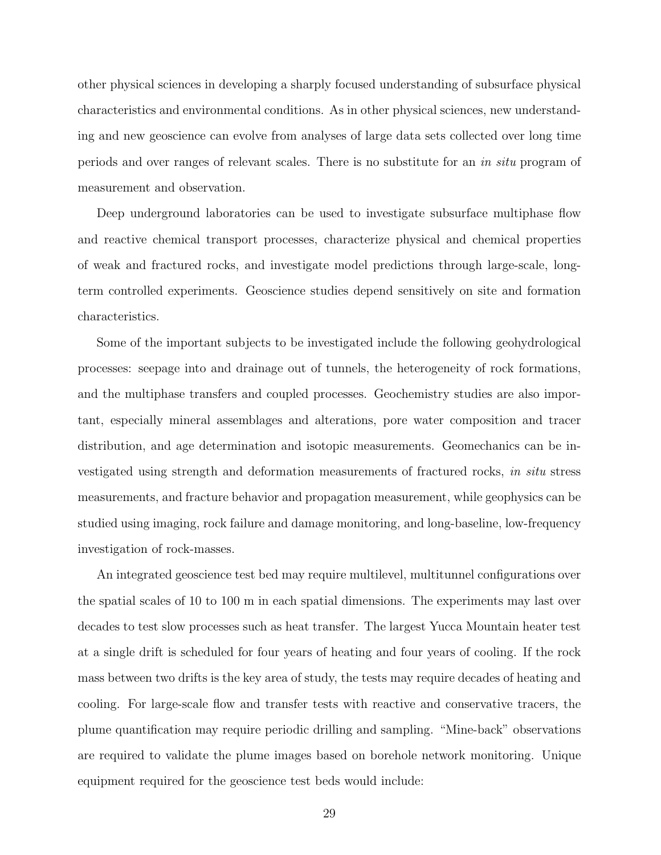other physical sciences in developing a sharply focused understanding of subsurface physical characteristics and environmental conditions. As in other physical sciences, new understanding and new geoscience can evolve from analyses of large data sets collected over long time periods and over ranges of relevant scales. There is no substitute for an in situ program of measurement and observation.

Deep underground laboratories can be used to investigate subsurface multiphase flow and reactive chemical transport processes, characterize physical and chemical properties of weak and fractured rocks, and investigate model predictions through large-scale, longterm controlled experiments. Geoscience studies depend sensitively on site and formation characteristics.

Some of the important subjects to be investigated include the following geohydrological processes: seepage into and drainage out of tunnels, the heterogeneity of rock formations, and the multiphase transfers and coupled processes. Geochemistry studies are also important, especially mineral assemblages and alterations, pore water composition and tracer distribution, and age determination and isotopic measurements. Geomechanics can be investigated using strength and deformation measurements of fractured rocks, in situ stress measurements, and fracture behavior and propagation measurement, while geophysics can be studied using imaging, rock failure and damage monitoring, and long-baseline, low-frequency investigation of rock-masses.

An integrated geoscience test bed may require multilevel, multitunnel configurations over the spatial scales of 10 to 100 m in each spatial dimensions. The experiments may last over decades to test slow processes such as heat transfer. The largest Yucca Mountain heater test at a single drift is scheduled for four years of heating and four years of cooling. If the rock mass between two drifts is the key area of study, the tests may require decades of heating and cooling. For large-scale flow and transfer tests with reactive and conservative tracers, the plume quantification may require periodic drilling and sampling. "Mine-back" observations are required to validate the plume images based on borehole network monitoring. Unique equipment required for the geoscience test beds would include: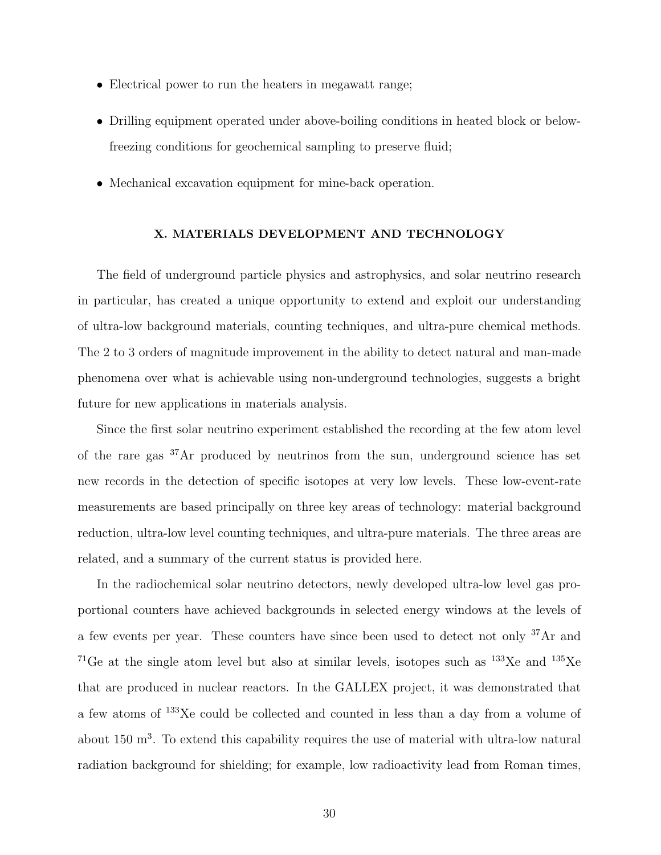- Electrical power to run the heaters in megawatt range;
- Drilling equipment operated under above-boiling conditions in heated block or belowfreezing conditions for geochemical sampling to preserve fluid;
- Mechanical excavation equipment for mine-back operation.

## **X. MATERIALS DEVELOPMENT AND TECHNOLOGY**

The field of underground particle physics and astrophysics, and solar neutrino research in particular, has created a unique opportunity to extend and exploit our understanding of ultra-low background materials, counting techniques, and ultra-pure chemical methods. The 2 to 3 orders of magnitude improvement in the ability to detect natural and man-made phenomena over what is achievable using non-underground technologies, suggests a bright future for new applications in materials analysis.

Since the first solar neutrino experiment established the recording at the few atom level of the rare gas <sup>37</sup>Ar produced by neutrinos from the sun, underground science has set new records in the detection of specific isotopes at very low levels. These low-event-rate measurements are based principally on three key areas of technology: material background reduction, ultra-low level counting techniques, and ultra-pure materials. The three areas are related, and a summary of the current status is provided here.

In the radiochemical solar neutrino detectors, newly developed ultra-low level gas proportional counters have achieved backgrounds in selected energy windows at the levels of a few events per year. These counters have since been used to detect not only <sup>37</sup>Ar and <sup>71</sup>Ge at the single atom level but also at similar levels, isotopes such as  $133Xe$  and  $135Xe$ that are produced in nuclear reactors. In the GALLEX project, it was demonstrated that a few atoms of <sup>133</sup>Xe could be collected and counted in less than a day from a volume of about 150 m<sup>3</sup>. To extend this capability requires the use of material with ultra-low natural radiation background for shielding; for example, low radioactivity lead from Roman times,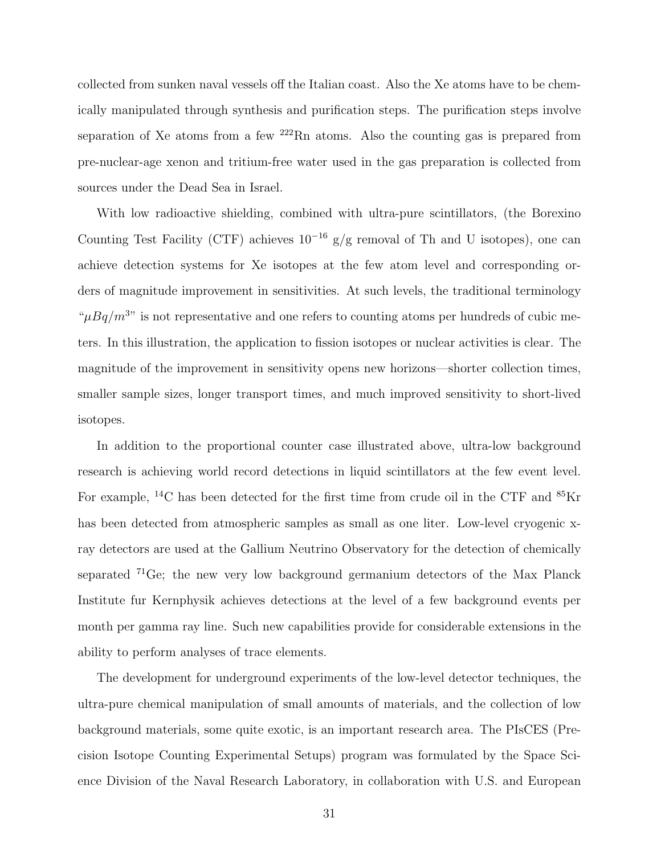collected from sunken naval vessels off the Italian coast. Also the Xe atoms have to be chemically manipulated through synthesis and purification steps. The purification steps involve separation of Xe atoms from a few  $222$ Rn atoms. Also the counting gas is prepared from pre-nuclear-age xenon and tritium-free water used in the gas preparation is collected from sources under the Dead Sea in Israel.

With low radioactive shielding, combined with ultra-pure scintillators, (the Borexino Counting Test Facility (CTF) achieves  $10^{-16}$  g/g removal of Th and U isotopes), one can achieve detection systems for Xe isotopes at the few atom level and corresponding orders of magnitude improvement in sensitivities. At such levels, the traditional terminology " $\mu Bq/m^{3}$ " is not representative and one refers to counting atoms per hundreds of cubic meters. In this illustration, the application to fission isotopes or nuclear activities is clear. The magnitude of the improvement in sensitivity opens new horizons—shorter collection times, smaller sample sizes, longer transport times, and much improved sensitivity to short-lived isotopes.

In addition to the proportional counter case illustrated above, ultra-low background research is achieving world record detections in liquid scintillators at the few event level. For example, <sup>14</sup>C has been detected for the first time from crude oil in the CTF and  ${}^{85}$ Kr has been detected from atmospheric samples as small as one liter. Low-level cryogenic xray detectors are used at the Gallium Neutrino Observatory for the detection of chemically separated <sup>71</sup>Ge; the new very low background germanium detectors of the Max Planck Institute fur Kernphysik achieves detections at the level of a few background events per month per gamma ray line. Such new capabilities provide for considerable extensions in the ability to perform analyses of trace elements.

The development for underground experiments of the low-level detector techniques, the ultra-pure chemical manipulation of small amounts of materials, and the collection of low background materials, some quite exotic, is an important research area. The PIsCES (Precision Isotope Counting Experimental Setups) program was formulated by the Space Science Division of the Naval Research Laboratory, in collaboration with U.S. and European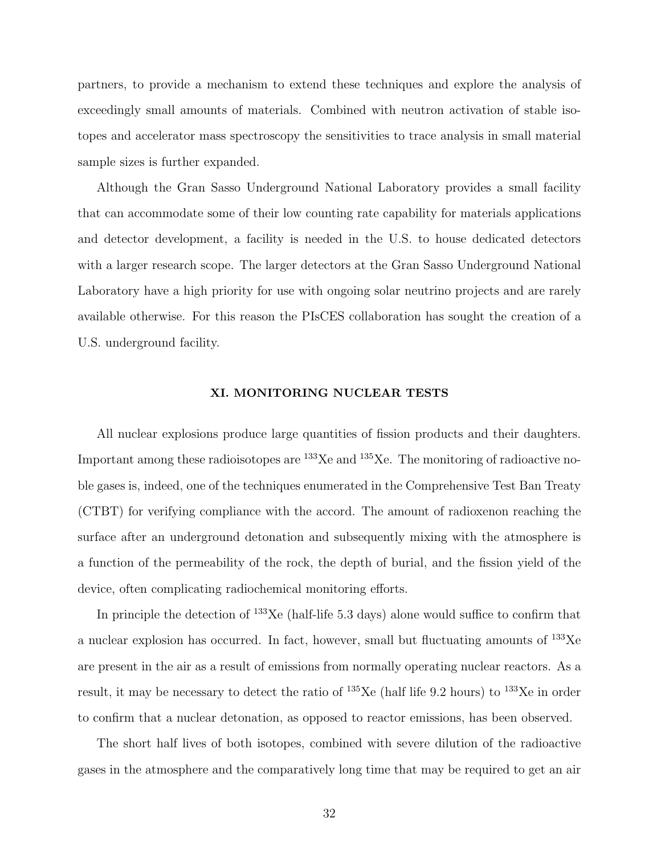partners, to provide a mechanism to extend these techniques and explore the analysis of exceedingly small amounts of materials. Combined with neutron activation of stable isotopes and accelerator mass spectroscopy the sensitivities to trace analysis in small material sample sizes is further expanded.

Although the Gran Sasso Underground National Laboratory provides a small facility that can accommodate some of their low counting rate capability for materials applications and detector development, a facility is needed in the U.S. to house dedicated detectors with a larger research scope. The larger detectors at the Gran Sasso Underground National Laboratory have a high priority for use with ongoing solar neutrino projects and are rarely available otherwise. For this reason the PIsCES collaboration has sought the creation of a U.S. underground facility.

## **XI. MONITORING NUCLEAR TESTS**

All nuclear explosions produce large quantities of fission products and their daughters. Important among these radioisotopes are  $^{133}$ Xe and  $^{135}$ Xe. The monitoring of radioactive noble gases is, indeed, one of the techniques enumerated in the Comprehensive Test Ban Treaty (CTBT) for verifying compliance with the accord. The amount of radioxenon reaching the surface after an underground detonation and subsequently mixing with the atmosphere is a function of the permeability of the rock, the depth of burial, and the fission yield of the device, often complicating radiochemical monitoring efforts.

In principle the detection of  $^{133}$ Xe (half-life 5.3 days) alone would suffice to confirm that a nuclear explosion has occurred. In fact, however, small but fluctuating amounts of <sup>133</sup>Xe are present in the air as a result of emissions from normally operating nuclear reactors. As a result, it may be necessary to detect the ratio of  $^{135}$ Xe (half life 9.2 hours) to  $^{133}$ Xe in order to confirm that a nuclear detonation, as opposed to reactor emissions, has been observed.

The short half lives of both isotopes, combined with severe dilution of the radioactive gases in the atmosphere and the comparatively long time that may be required to get an air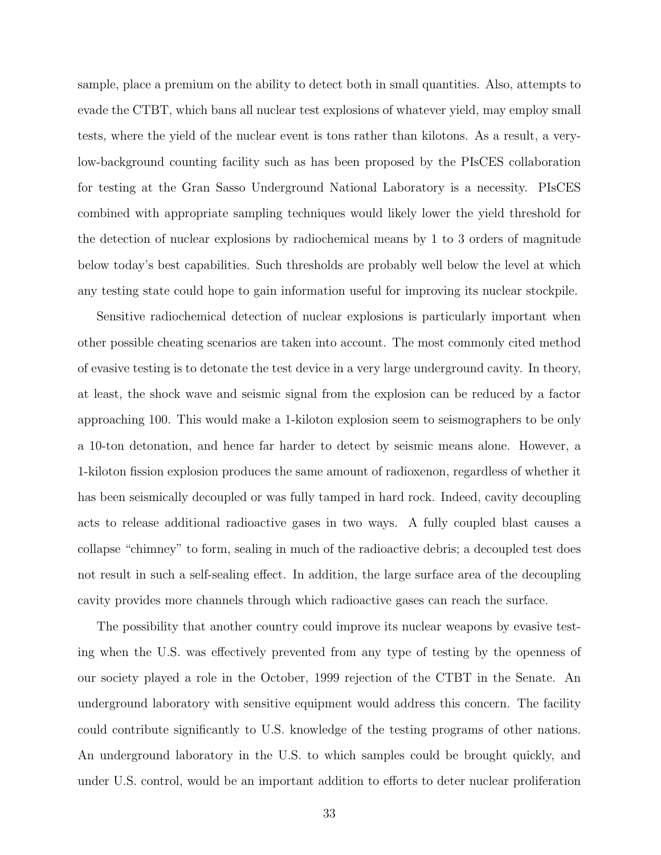sample, place a premium on the ability to detect both in small quantities. Also, attempts to evade the CTBT, which bans all nuclear test explosions of whatever yield, may employ small tests, where the yield of the nuclear event is tons rather than kilotons. As a result, a verylow-background counting facility such as has been proposed by the PIsCES collaboration for testing at the Gran Sasso Underground National Laboratory is a necessity. PIsCES combined with appropriate sampling techniques would likely lower the yield threshold for the detection of nuclear explosions by radiochemical means by 1 to 3 orders of magnitude below today's best capabilities. Such thresholds are probably well below the level at which any testing state could hope to gain information useful for improving its nuclear stockpile.

Sensitive radiochemical detection of nuclear explosions is particularly important when other possible cheating scenarios are taken into account. The most commonly cited method of evasive testing is to detonate the test device in a very large underground cavity. In theory, at least, the shock wave and seismic signal from the explosion can be reduced by a factor approaching 100. This would make a 1-kiloton explosion seem to seismographers to be only a 10-ton detonation, and hence far harder to detect by seismic means alone. However, a 1-kiloton fission explosion produces the same amount of radioxenon, regardless of whether it has been seismically decoupled or was fully tamped in hard rock. Indeed, cavity decoupling acts to release additional radioactive gases in two ways. A fully coupled blast causes a collapse "chimney" to form, sealing in much of the radioactive debris; a decoupled test does not result in such a self-sealing effect. In addition, the large surface area of the decoupling cavity provides more channels through which radioactive gases can reach the surface.

The possibility that another country could improve its nuclear weapons by evasive testing when the U.S. was effectively prevented from any type of testing by the openness of our society played a role in the October, 1999 rejection of the CTBT in the Senate. An underground laboratory with sensitive equipment would address this concern. The facility could contribute significantly to U.S. knowledge of the testing programs of other nations. An underground laboratory in the U.S. to which samples could be brought quickly, and under U.S. control, would be an important addition to efforts to deter nuclear proliferation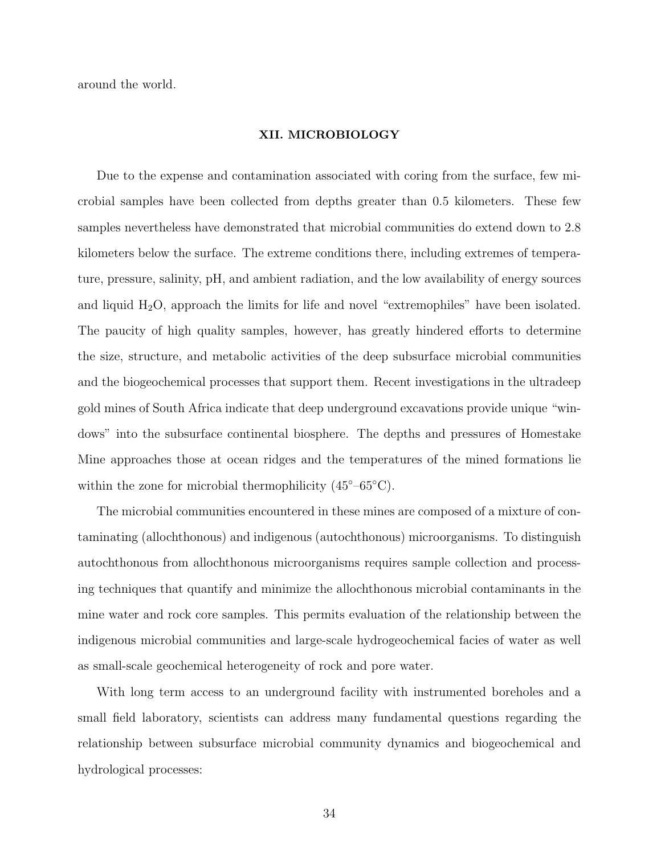around the world.

#### **XII. MICROBIOLOGY**

Due to the expense and contamination associated with coring from the surface, few microbial samples have been collected from depths greater than 0.5 kilometers. These few samples nevertheless have demonstrated that microbial communities do extend down to 2.8 kilometers below the surface. The extreme conditions there, including extremes of temperature, pressure, salinity, pH, and ambient radiation, and the low availability of energy sources and liquid  $H_2O$ , approach the limits for life and novel "extremophiles" have been isolated. The paucity of high quality samples, however, has greatly hindered efforts to determine the size, structure, and metabolic activities of the deep subsurface microbial communities and the biogeochemical processes that support them. Recent investigations in the ultradeep gold mines of South Africa indicate that deep underground excavations provide unique "windows" into the subsurface continental biosphere. The depths and pressures of Homestake Mine approaches those at ocean ridges and the temperatures of the mined formations lie within the zone for microbial thermophilicity  $(45^{\circ} - 65^{\circ}C)$ .

The microbial communities encountered in these mines are composed of a mixture of contaminating (allochthonous) and indigenous (autochthonous) microorganisms. To distinguish autochthonous from allochthonous microorganisms requires sample collection and processing techniques that quantify and minimize the allochthonous microbial contaminants in the mine water and rock core samples. This permits evaluation of the relationship between the indigenous microbial communities and large-scale hydrogeochemical facies of water as well as small-scale geochemical heterogeneity of rock and pore water.

With long term access to an underground facility with instrumented boreholes and a small field laboratory, scientists can address many fundamental questions regarding the relationship between subsurface microbial community dynamics and biogeochemical and hydrological processes: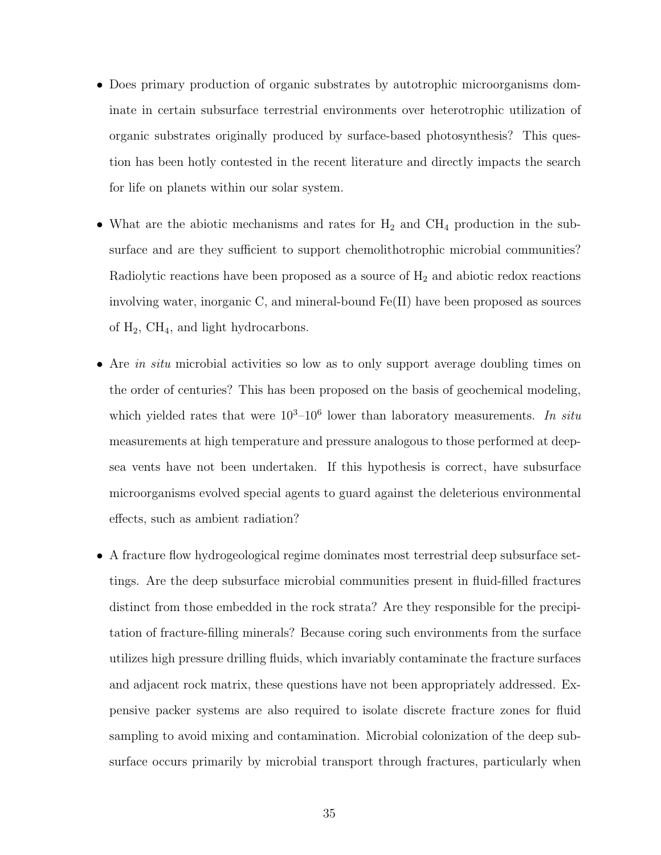- Does primary production of organic substrates by autotrophic microorganisms dominate in certain subsurface terrestrial environments over heterotrophic utilization of organic substrates originally produced by surface-based photosynthesis? This question has been hotly contested in the recent literature and directly impacts the search for life on planets within our solar system.
- What are the abiotic mechanisms and rates for  $H_2$  and  $CH_4$  production in the subsurface and are they sufficient to support chemolithotrophic microbial communities? Radiolytic reactions have been proposed as a source of  $H_2$  and abiotic redox reactions involving water, inorganic C, and mineral-bound Fe(II) have been proposed as sources of  $H_2$ , CH<sub>4</sub>, and light hydrocarbons.
- Are in situ microbial activities so low as to only support average doubling times on the order of centuries? This has been proposed on the basis of geochemical modeling, which yielded rates that were  $10^3-10^6$  lower than laboratory measurements. In situ measurements at high temperature and pressure analogous to those performed at deepsea vents have not been undertaken. If this hypothesis is correct, have subsurface microorganisms evolved special agents to guard against the deleterious environmental effects, such as ambient radiation?
- A fracture flow hydrogeological regime dominates most terrestrial deep subsurface settings. Are the deep subsurface microbial communities present in fluid-filled fractures distinct from those embedded in the rock strata? Are they responsible for the precipitation of fracture-filling minerals? Because coring such environments from the surface utilizes high pressure drilling fluids, which invariably contaminate the fracture surfaces and adjacent rock matrix, these questions have not been appropriately addressed. Expensive packer systems are also required to isolate discrete fracture zones for fluid sampling to avoid mixing and contamination. Microbial colonization of the deep subsurface occurs primarily by microbial transport through fractures, particularly when